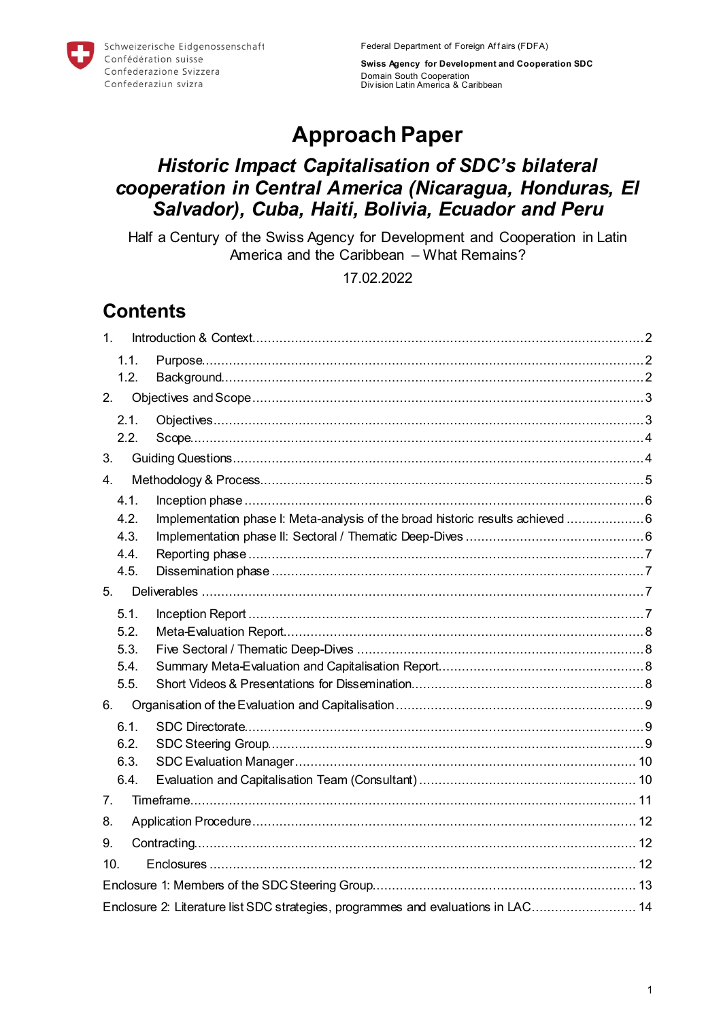Schweizerische Eidgenossenschaft Confédération suisse Confederazione Svizzera Confederaziun svizra

**Swiss Agency for Development and Cooperation SDC** Domain South Cooperation Div ision Latin America & Caribbean

# **Approach Paper**

# *Historic Impact Capitalisation of SDC's bilateral cooperation in Central America (Nicaragua, Honduras, El Salvador), Cuba, Haiti, Bolivia, Ecuador and Peru*

Half a Century of the Swiss Agency for Development and Cooperation in Latin America and the Caribbean – What Remains?

# 17.02.2022

# **Contents**

| 1 <sub>1</sub> |                                                                                   |  |  |  |  |
|----------------|-----------------------------------------------------------------------------------|--|--|--|--|
| 1.1.           |                                                                                   |  |  |  |  |
| 1.2.           |                                                                                   |  |  |  |  |
| 2.             |                                                                                   |  |  |  |  |
| 2.1.           |                                                                                   |  |  |  |  |
| 2.2.           |                                                                                   |  |  |  |  |
| 3.             |                                                                                   |  |  |  |  |
| 4 <sub>1</sub> |                                                                                   |  |  |  |  |
| 4.1.           |                                                                                   |  |  |  |  |
| 4.2.           | Implementation phase I: Meta-analysis of the broad historic results achieved 6    |  |  |  |  |
| 4.3.           |                                                                                   |  |  |  |  |
| 4.4.           |                                                                                   |  |  |  |  |
| 4.5.           |                                                                                   |  |  |  |  |
| 5.             |                                                                                   |  |  |  |  |
| 5.1.           |                                                                                   |  |  |  |  |
| 5.2.           |                                                                                   |  |  |  |  |
| 5.3.           |                                                                                   |  |  |  |  |
| 5.4.           |                                                                                   |  |  |  |  |
| 5.5.           |                                                                                   |  |  |  |  |
| 6.             |                                                                                   |  |  |  |  |
| 6.1.           |                                                                                   |  |  |  |  |
| 6.2.           |                                                                                   |  |  |  |  |
| 6.3.           |                                                                                   |  |  |  |  |
| 6.4.           |                                                                                   |  |  |  |  |
| 7.             |                                                                                   |  |  |  |  |
| 8.             |                                                                                   |  |  |  |  |
| 9.             |                                                                                   |  |  |  |  |
| 10.            |                                                                                   |  |  |  |  |
|                |                                                                                   |  |  |  |  |
|                | Enclosure 2: Literature list SDC strategies, programmes and evaluations in LAC 14 |  |  |  |  |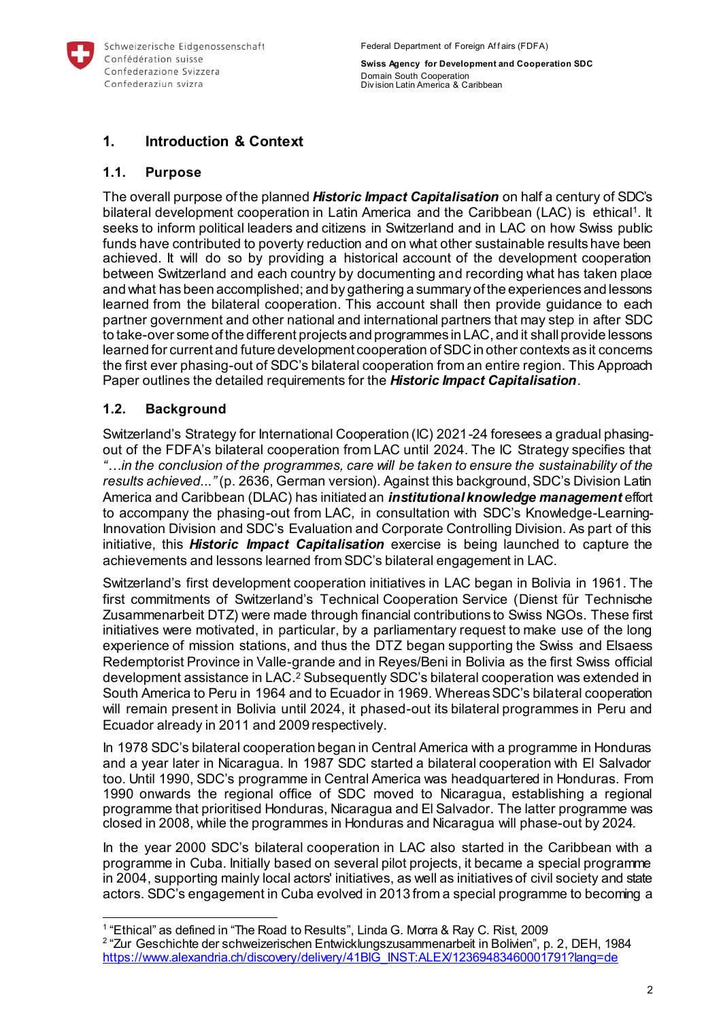

# <span id="page-1-0"></span>**1. Introduction & Context**

## <span id="page-1-1"></span>**1.1. Purpose**

The overall purpose of the planned *Historic Impact Capitalisation* on half a century of SDC's bilateral development cooperation in Latin America and the Caribbean (LAC) is ethical1. It seeks to inform political leaders and citizens in Switzerland and in LAC on how Swiss public funds have contributed to poverty reduction and on what other sustainable results have been achieved. It will do so by providing a historical account of the development cooperation between Switzerland and each country by documenting and recording what has taken place and what has been accomplished; and by gathering a summary of the experiences and lessons learned from the bilateral cooperation. This account shall then provide guidance to each partner government and other national and international partners that may step in after SDC to take-over some of the different projects and programmes in LAC, and it shall provide lessons learned for current and future development cooperation of SDC in other contexts as it concerns the first ever phasing-out of SDC's bilateral cooperation from an entire region. This Approach Paper outlines the detailed requirements for the *Historic Impact Capitalisation*.

# <span id="page-1-2"></span>**1.2. Background**

l

Switzerland's Strategy for International Cooperation (IC) 2021-24 foresees a gradual phasingout of the FDFA's bilateral cooperation from LAC until 2024. The IC Strategy specifies that *"…in the conclusion of the programmes, care will be taken to ensure the sustainability of the results achieved..."* (p. 2636, German version). Against this background, SDC's Division Latin America and Caribbean (DLAC) has initiated an *institutional knowledge management* effort to accompany the phasing-out from LAC, in consultation with SDC's Knowledge-Learning-Innovation Division and SDC's Evaluation and Corporate Controlling Division. As part of this initiative, this *Historic Impact Capitalisation* exercise is being launched to capture the achievements and lessons learned from SDC's bilateral engagement in LAC.

Switzerland's first development cooperation initiatives in LAC began in Bolivia in 1961. The first commitments of Switzerland's Technical Cooperation Service (Dienst für Technische Zusammenarbeit DTZ) were made through financial contributions to Swiss NGOs. These first initiatives were motivated, in particular, by a parliamentary request to make use of the long experience of mission stations, and thus the DTZ began supporting the Swiss and Elsaess Redemptorist Province in Valle-grande and in Reyes/Beni in Bolivia as the first Swiss official development assistance in LAC.<sup>2</sup> Subsequently SDC's bilateral cooperation was extended in South America to Peru in 1964 and to Ecuador in 1969. Whereas SDC's bilateral cooperation will remain present in Bolivia until 2024, it phased-out its bilateral programmes in Peru and Ecuador already in 2011 and 2009 respectively.

In 1978 SDC's bilateral cooperation began in Central America with a programme in Honduras and a year later in Nicaragua. In 1987 SDC started a bilateral cooperation with El Salvador too. Until 1990, SDC's programme in Central America was headquartered in Honduras. From 1990 onwards the regional office of SDC moved to Nicaragua, establishing a regional programme that prioritised Honduras, Nicaragua and El Salvador. The latter programme was closed in 2008, while the programmes in Honduras and Nicaragua will phase-out by 2024.

In the year 2000 SDC's bilateral cooperation in LAC also started in the Caribbean with a programme in Cuba. Initially based on several pilot projects, it became a special programme in 2004, supporting mainly local actors' initiatives, as well as initiatives of civil society and state actors. SDC's engagement in Cuba evolved in 2013 from a special programme to becoming a

<sup>&</sup>lt;sup>1</sup> "Ethical" as defined in "The Road to Results", Linda G. Morra & Ray C. Rist, 2009  $2$  "Zur Geschichte der schweizerischen Entwicklungszusammenarbeit in Bolivien", p. 2, DEH, 1984

[https://www.alexandria.ch/discovery/delivery/41BIG\\_INST:ALEX/12369483460001791?lang=de](https://www.alexandria.ch/discovery/delivery/41BIG_INST:ALEX/12369483460001791?lang=de)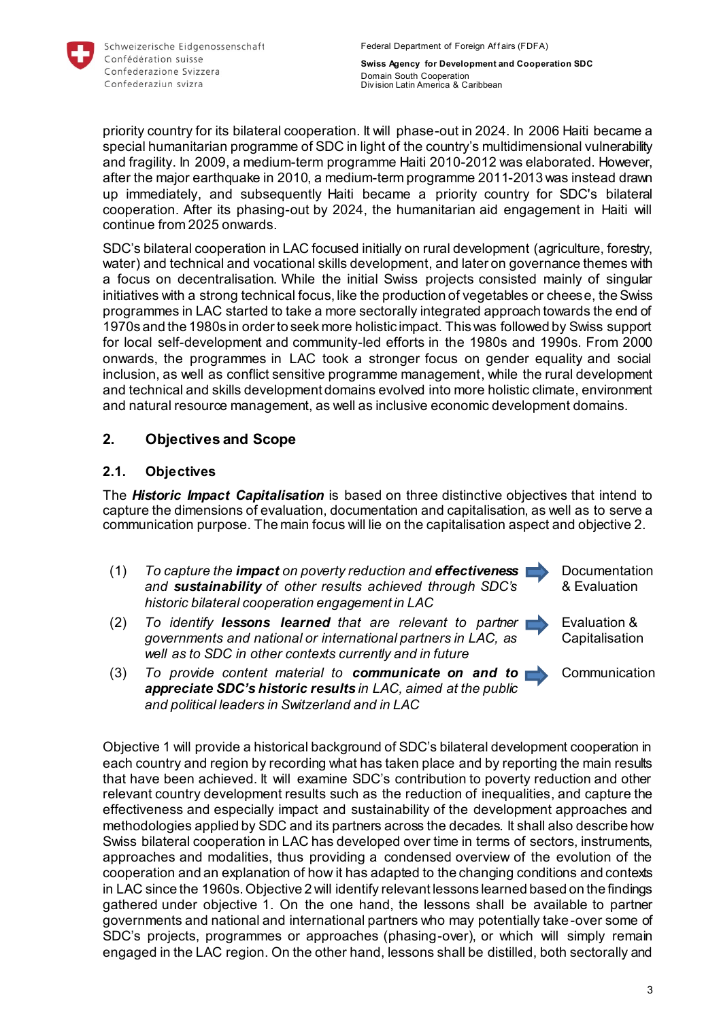

priority country for its bilateral cooperation. It will phase-out in 2024. In 2006 Haiti became a special humanitarian programme of SDC in light of the country's multidimensional vulnerability and fragility. In 2009, a medium-term programme Haiti 2010-2012 was elaborated. However, after the major earthquake in 2010, a medium-term programme 2011-2013 was instead drawn up immediately, and subsequently Haiti became a priority country for SDC's bilateral cooperation. After its phasing-out by 2024, the humanitarian aid engagement in Haiti will continue from 2025 onwards.

SDC's bilateral cooperation in LAC focused initially on rural development (agriculture, forestry, water) and technical and vocational skills development, and later on governance themes with a focus on decentralisation. While the initial Swiss projects consisted mainly of singular initiatives with a strong technical focus, like the production of vegetables or cheese, the Swiss programmes in LAC started to take a more sectorally integrated approach towards the end of 1970s and the 1980s in order to seek more holistic impact. This was followed by Swiss support for local self-development and community-led efforts in the 1980s and 1990s. From 2000 onwards, the programmes in LAC took a stronger focus on gender equality and social inclusion, as well as conflict sensitive programme management, while the rural development and technical and skills development domains evolved into more holistic climate, environment and natural resource management, as well as inclusive economic development domains.

# <span id="page-2-0"></span>**2. Objectives and Scope**

# <span id="page-2-1"></span>**2.1. Objectives**

The *Historic Impact Capitalisation* is based on three distinctive objectives that intend to capture the dimensions of evaluation, documentation and capitalisation, as well as to serve a communication purpose. The main focus will lie on the capitalisation aspect and objective 2.

- (1) *To capture the impact on poverty reduction and effectiveness and sustainability of other results achieved through SDC's historic bilateral cooperation engagement in LAC*
- (2) *To identify lessons learned that are relevant to partner governments and national or international partners in LAC, as well as to SDC in other contexts currently and in future*
- **Documentation** & Evaluation
- Evaluation & **Capitalisation**

**Communication** 

(3) *To provide content material to communicate on and to appreciate SDC's historic results in LAC, aimed at the public and political leaders in Switzerland and in LAC*

Objective 1 will provide a historical background of SDC's bilateral development cooperation in each country and region by recording what has taken place and by reporting the main results that have been achieved. It will examine SDC's contribution to poverty reduction and other relevant country development results such as the reduction of inequalities, and capture the effectiveness and especially impact and sustainability of the development approaches and methodologies applied by SDC and its partners across the decades. It shall also describe how Swiss bilateral cooperation in LAC has developed over time in terms of sectors, instruments, approaches and modalities, thus providing a condensed overview of the evolution of the cooperation and an explanation of how it has adapted to the changing conditions and contexts in LAC since the 1960s. Objective 2 will identify relevant lessons learned based on the findings gathered under objective 1. On the one hand, the lessons shall be available to partner governments and national and international partners who may potentially take-over some of SDC's projects, programmes or approaches (phasing-over), or which will simply remain engaged in the LAC region. On the other hand, lessons shall be distilled, both sectorally and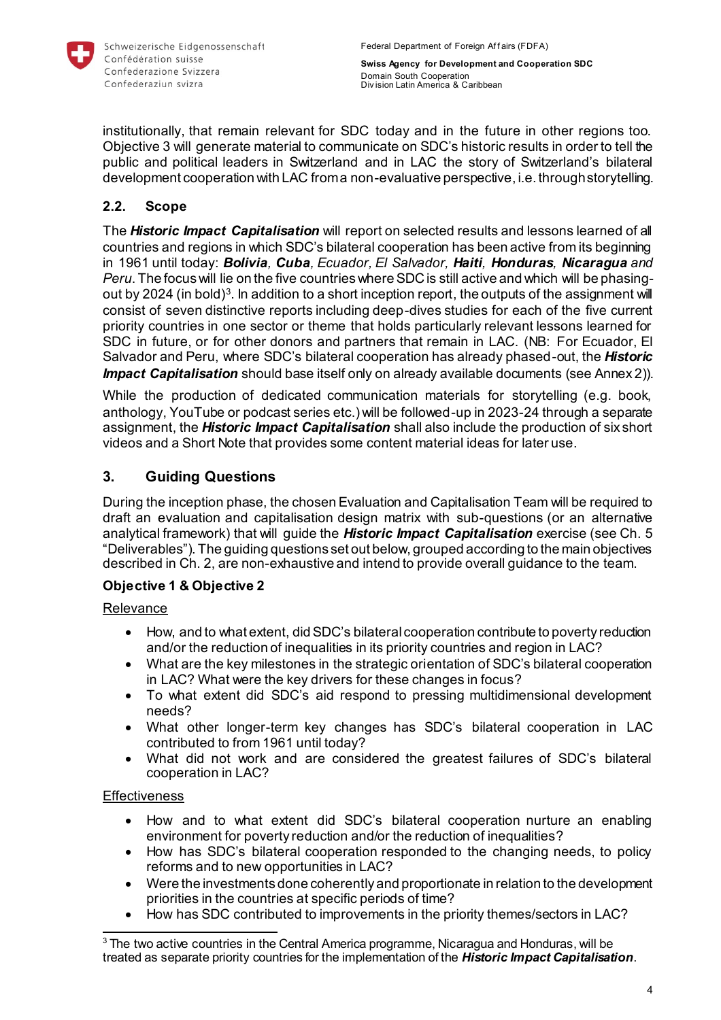

institutionally, that remain relevant for SDC today and in the future in other regions too. Objective 3 will generate material to communicate on SDC's historic results in order to tell the public and political leaders in Switzerland and in LAC the story of Switzerland's bilateral development cooperation with LAC from a non-evaluative perspective, i.e. through storytelling.

# <span id="page-3-0"></span>**2.2. Scope**

The *Historic Impact Capitalisation* will report on selected results and lessons learned of all countries and regions in which SDC's bilateral cooperation has been active from its beginning in 1961 until today: *Bolivia, Cuba, Ecuador, El Salvador, Haiti, Honduras, Nicaragua and Peru*. The focus will lie on the five countries where SDC is still active and which will be phasingout by 2024 (in bold)<sup>3</sup>. In addition to a short inception report, the outputs of the assignment will consist of seven distinctive reports including deep-dives studies for each of the five current priority countries in one sector or theme that holds particularly relevant lessons learned for SDC in future, or for other donors and partners that remain in LAC. (NB: For Ecuador, El Salvador and Peru, where SDC's bilateral cooperation has already phased-out, the *Historic Impact Capitalisation* should base itself only on already available documents (see Annex 2)).

While the production of dedicated communication materials for storytelling (e.g. book, anthology, YouTube or podcast series etc.) will be followed-up in 2023-24 through a separate assignment, the *Historic Impact Capitalisation* shall also include the production of six short videos and a Short Note that provides some content material ideas for later use.

# <span id="page-3-1"></span>**3. Guiding Questions**

During the inception phase, the chosen Evaluation and Capitalisation Team will be required to draft an evaluation and capitalisation design matrix with sub-questions (or an alternative analytical framework) that will guide the *Historic Impact Capitalisation* exercise (see Ch. 5 "Deliverables"). The guiding questions set out below, grouped according to the main objectives described in Ch. 2, are non-exhaustive and intend to provide overall guidance to the team.

# **Objective 1 & Objective 2**

Relevance

- How, and to what extent, did SDC's bilateral cooperation contribute to poverty reduction and/or the reduction of inequalities in its priority countries and region in LAC?
- What are the key milestones in the strategic orientation of SDC's bilateral cooperation in LAC? What were the key drivers for these changes in focus?
- To what extent did SDC's aid respond to pressing multidimensional development needs?
- What other longer-term key changes has SDC's bilateral cooperation in LAC contributed to from 1961 until today?
- What did not work and are considered the greatest failures of SDC's bilateral cooperation in LAC?

# **Effectiveness**

- How and to what extent did SDC's bilateral cooperation nurture an enabling environment for poverty reduction and/or the reduction of inequalities?
- How has SDC's bilateral cooperation responded to the changing needs, to policy reforms and to new opportunities in LAC?
- Were the investments done coherently and proportionate in relation to the development priorities in the countries at specific periods of time?
- How has SDC contributed to improvements in the priority themes/sectors in LAC?

l  $3$  The two active countries in the Central America programme, Nicaragua and Honduras, will be treated as separate priority countries for the implementation of the *Historic Impact Capitalisation*.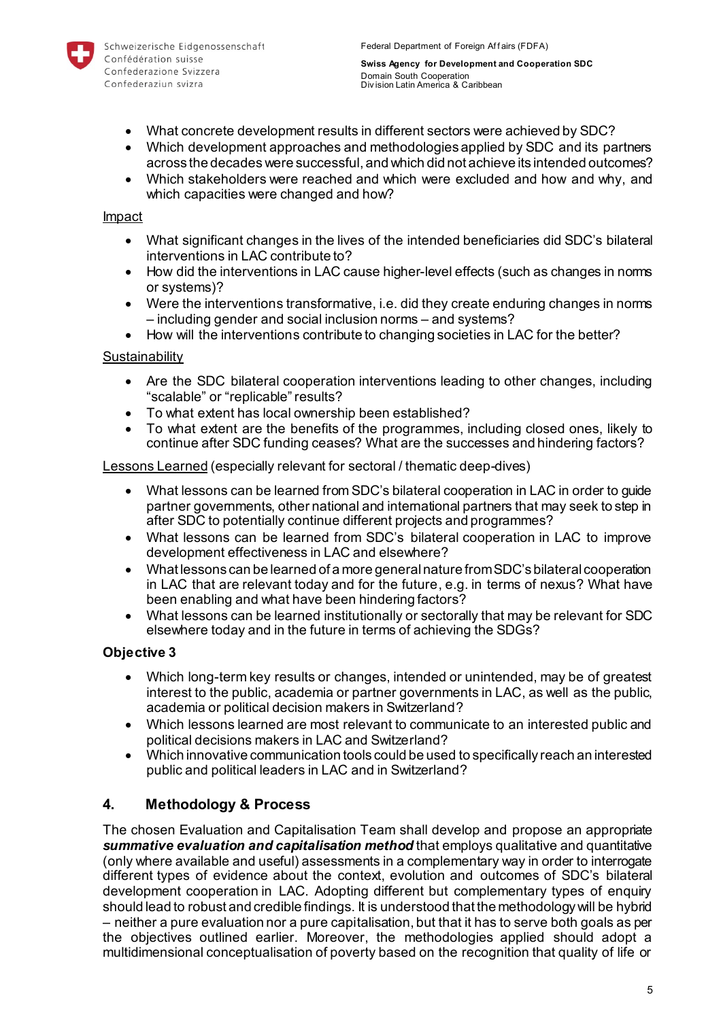

- What concrete development results in different sectors were achieved by SDC?
- Which development approaches and methodologies applied by SDC and its partners across the decades were successful, and which did not achieve its intended outcomes?
- Which stakeholders were reached and which were excluded and how and why, and which capacities were changed and how?

### Impact

- What significant changes in the lives of the intended beneficiaries did SDC's bilateral interventions in LAC contribute to?
- How did the interventions in LAC cause higher-level effects (such as changes in norms or systems)?
- Were the interventions transformative, i.e. did they create enduring changes in norms – including gender and social inclusion norms – and systems?
- How will the interventions contribute to changing societies in LAC for the better?

### **Sustainability**

- Are the SDC bilateral cooperation interventions leading to other changes, including "scalable" or "replicable" results?
- To what extent has local ownership been established?
- To what extent are the benefits of the programmes, including closed ones, likely to continue after SDC funding ceases? What are the successes and hindering factors?

Lessons Learned (especially relevant for sectoral / thematic deep-dives)

- What lessons can be learned from SDC's bilateral cooperation in LAC in order to guide partner governments, other national and international partners that may seek to step in after SDC to potentially continue different projects and programmes?
- What lessons can be learned from SDC's bilateral cooperation in LAC to improve development effectiveness in LAC and elsewhere?
- What lessons can be learned of a more general nature from SDC's bilateral cooperation in LAC that are relevant today and for the future, e.g. in terms of nexus? What have been enabling and what have been hindering factors?
- What lessons can be learned institutionally or sectorally that may be relevant for SDC elsewhere today and in the future in terms of achieving the SDGs?

# **Objective 3**

- Which long-term key results or changes, intended or unintended, may be of greatest interest to the public, academia or partner governments in LAC, as well as the public, academia or political decision makers in Switzerland?
- Which lessons learned are most relevant to communicate to an interested public and political decisions makers in LAC and Switzerland?
- Which innovative communication tools could be used to specifically reach an interested public and political leaders in LAC and in Switzerland?

# <span id="page-4-0"></span>**4. Methodology & Process**

The chosen Evaluation and Capitalisation Team shall develop and propose an appropriate *summative evaluation and capitalisation method* that employs qualitative and quantitative (only where available and useful) assessments in a complementary way in order to interrogate different types of evidence about the context, evolution and outcomes of SDC's bilateral development cooperation in LAC. Adopting different but complementary types of enquiry should lead to robust and credible findings. It is understood that the methodology will be hybrid – neither a pure evaluation nor a pure capitalisation, but that it has to serve both goals as per the objectives outlined earlier. Moreover, the methodologies applied should adopt a multidimensional conceptualisation of poverty based on the recognition that quality of life or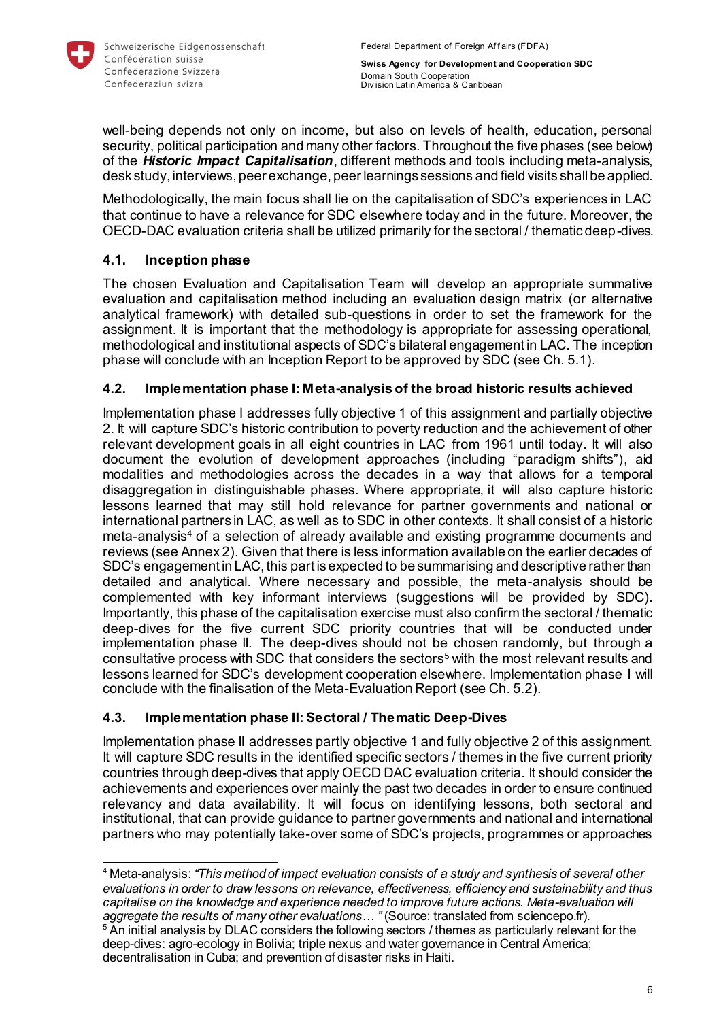

well-being depends not only on income, but also on levels of health, education, personal security, political participation and many other factors. Throughout the five phases (see below) of the *Historic Impact Capitalisation*, different methods and tools including meta-analysis, desk study, interviews, peer exchange, peer learnings sessions and field visits shall be applied.

Methodologically, the main focus shall lie on the capitalisation of SDC's experiences in LAC that continue to have a relevance for SDC elsewhere today and in the future. Moreover, the OECD-DAC evaluation criteria shall be utilized primarily for the sectoral / thematic deep-dives.

# <span id="page-5-0"></span>**4.1. Inception phase**

The chosen Evaluation and Capitalisation Team will develop an appropriate summative evaluation and capitalisation method including an evaluation design matrix (or alternative analytical framework) with detailed sub-questions in order to set the framework for the assignment. It is important that the methodology is appropriate for assessing operational, methodological and institutional aspects of SDC's bilateral engagement in LAC. The inception phase will conclude with an Inception Report to be approved by SDC (see Ch. 5.1).

# <span id="page-5-1"></span>**4.2. Implementation phase I: Meta-analysis of the broad historic results achieved**

Implementation phase I addresses fully objective 1 of this assignment and partially objective 2. It will capture SDC's historic contribution to poverty reduction and the achievement of other relevant development goals in all eight countries in LAC from 1961 until today. It will also document the evolution of development approaches (including "paradigm shifts"), aid modalities and methodologies across the decades in a way that allows for a temporal disaggregation in distinguishable phases. Where appropriate, it will also capture historic lessons learned that may still hold relevance for partner governments and national or international partners in LAC, as well as to SDC in other contexts. It shall consist of a historic meta-analysis<sup>4</sup> of a selection of already available and existing programme documents and reviews (see Annex 2). Given that there is less information available on the earlier decades of SDC's engagement in LAC, this part is expected to be summarising and descriptive rather than detailed and analytical. Where necessary and possible, the meta-analysis should be complemented with key informant interviews (suggestions will be provided by SDC). Importantly, this phase of the capitalisation exercise must also confirm the sectoral / thematic deep-dives for the five current SDC priority countries that will be conducted under implementation phase II. The deep-dives should not be chosen randomly, but through a consultative process with SDC that considers the sectors<sup>5</sup> with the most relevant results and lessons learned for SDC's development cooperation elsewhere. Implementation phase I will conclude with the finalisation of the Meta-Evaluation Report (see Ch. 5.2).

# <span id="page-5-2"></span>**4.3. Implementation phase II: Sectoral / Thematic Deep-Dives**

Implementation phase II addresses partly objective 1 and fully objective 2 of this assignment. It will capture SDC results in the identified specific sectors / themes in the five current priority countries through deep-dives that apply OECD DAC evaluation criteria. It should consider the achievements and experiences over mainly the past two decades in order to ensure continued relevancy and data availability. It will focus on identifying lessons, both sectoral and institutional, that can provide guidance to partner governments and national and international partners who may potentially take-over some of SDC's projects, programmes or approaches

l <sup>4</sup> Meta-analysis: *"This method of impact evaluation consists of a study and synthesis of several other evaluations in order to draw lessons on relevance, effectiveness, efficiency and sustainability and thus capitalise on the knowledge and experience needed to improve future actions. Meta-evaluation will aggregate the results of many other evaluations… "* (Source: translated from sciencepo.fr).

<sup>&</sup>lt;sup>5</sup> An initial analysis by DLAC considers the following sectors / themes as particularly relevant for the deep-dives: agro-ecology in Bolivia; triple nexus and water governance in Central America; decentralisation in Cuba; and prevention of disaster risks in Haiti.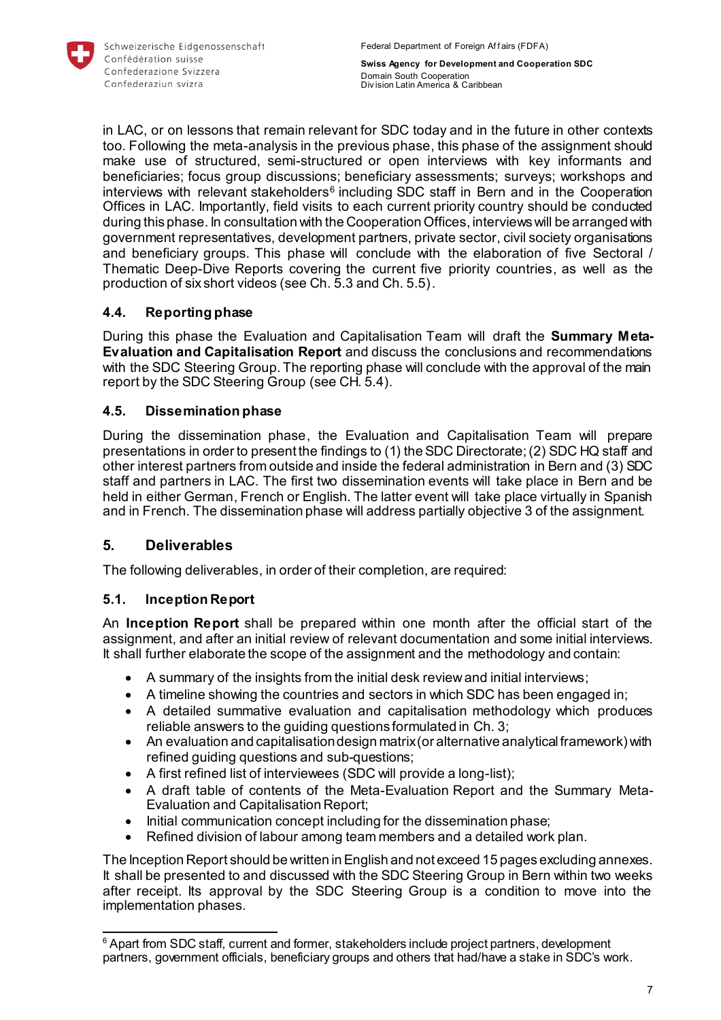

in LAC, or on lessons that remain relevant for SDC today and in the future in other contexts too. Following the meta-analysis in the previous phase, this phase of the assignment should make use of structured, semi-structured or open interviews with key informants and beneficiaries; focus group discussions; beneficiary assessments; surveys; workshops and interviews with relevant stakeholders<sup>6</sup> including SDC staff in Bern and in the Cooperation Offices in LAC. Importantly, field visits to each current priority country should be conducted during this phase. In consultation with the Cooperation Offices, interviews will be arranged with government representatives, development partners, private sector, civil society organisations and beneficiary groups. This phase will conclude with the elaboration of five Sectoral / Thematic Deep-Dive Reports covering the current five priority countries, as well as the production of six short videos (see Ch. 5.3 and Ch. 5.5).

# <span id="page-6-0"></span>**4.4. Reporting phase**

During this phase the Evaluation and Capitalisation Team will draft the **Summary Meta-Evaluation and Capitalisation Report** and discuss the conclusions and recommendations with the SDC Steering Group. The reporting phase will conclude with the approval of the main report by the SDC Steering Group (see CH. 5.4).

# <span id="page-6-1"></span>**4.5. Dissemination phase**

During the dissemination phase, the Evaluation and Capitalisation Team will prepare presentations in order to present the findings to (1) the SDC Directorate; (2) SDC HQ staff and other interest partners from outside and inside the federal administration in Bern and (3) SDC staff and partners in LAC. The first two dissemination events will take place in Bern and be held in either German, French or English. The latter event will take place virtually in Spanish and in French. The dissemination phase will address partially objective 3 of the assignment.

# <span id="page-6-2"></span>**5. Deliverables**

l

The following deliverables, in order of their completion, are required:

# <span id="page-6-3"></span>**5.1. Inception Report**

An **Inception Report** shall be prepared within one month after the official start of the assignment, and after an initial review of relevant documentation and some initial interviews. It shall further elaborate the scope of the assignment and the methodology and contain:

- A summary of the insights from the initial desk review and initial interviews;
- A timeline showing the countries and sectors in which SDC has been engaged in;
- A detailed summative evaluation and capitalisation methodology which produces reliable answers to the guiding questions formulated in Ch. 3;
- An evaluation and capitalisation design matrix (or alternative analytical framework) with refined guiding questions and sub-questions;
- A first refined list of interviewees (SDC will provide a long-list);
- A draft table of contents of the Meta-Evaluation Report and the Summary Meta-Evaluation and Capitalisation Report;
- Initial communication concept including for the dissemination phase;
- Refined division of labour among team members and a detailed work plan.

The Inception Report should be written in English and not exceed 15 pages excluding annexes. It shall be presented to and discussed with the SDC Steering Group in Bern within two weeks after receipt. Its approval by the SDC Steering Group is a condition to move into the implementation phases.

<sup>&</sup>lt;sup>6</sup> Apart from SDC staff, current and former, stakeholders include project partners, development partners, government officials, beneficiary groups and others that had/have a stake in SDC's work.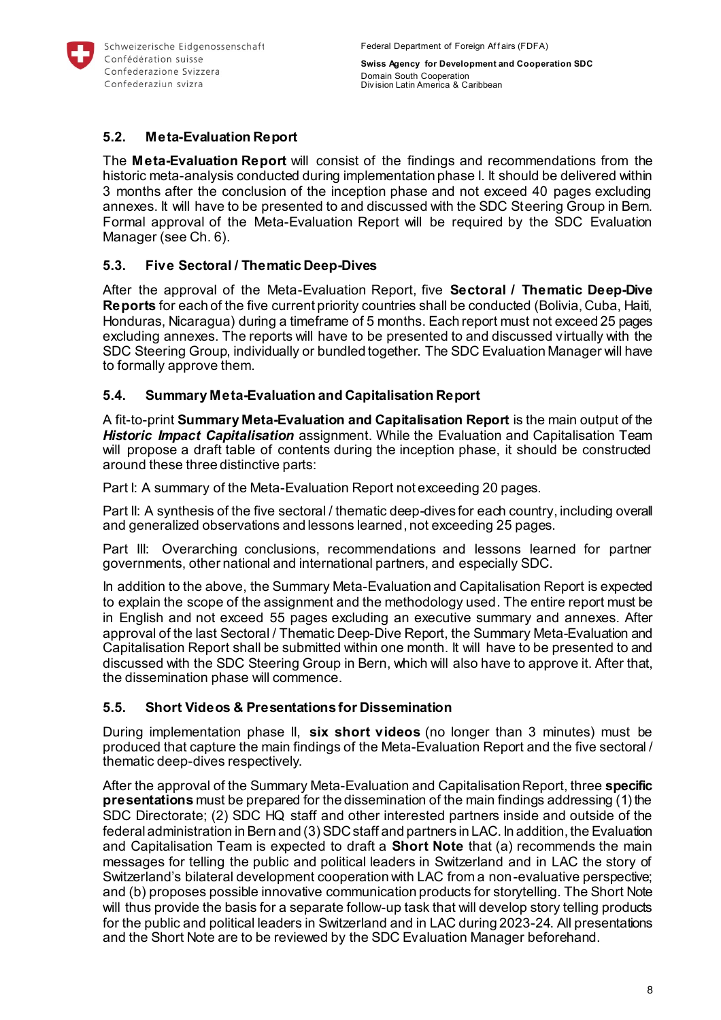

# <span id="page-7-0"></span>**5.2. Meta-Evaluation Report**

The **Meta-Evaluation Report** will consist of the findings and recommendations from the historic meta-analysis conducted during implementation phase I. It should be delivered within 3 months after the conclusion of the inception phase and not exceed 40 pages excluding annexes. It will have to be presented to and discussed with the SDC Steering Group in Bern. Formal approval of the Meta-Evaluation Report will be required by the SDC Evaluation Manager (see Ch. 6).

# <span id="page-7-1"></span>**5.3. Five Sectoral / Thematic Deep-Dives**

After the approval of the Meta-Evaluation Report, five **Sectoral / Thematic Deep-Dive Reports** for each of the five current priority countries shall be conducted (Bolivia, Cuba, Haiti, Honduras, Nicaragua) during a timeframe of 5 months. Each report must not exceed 25 pages excluding annexes. The reports will have to be presented to and discussed virtually with the SDC Steering Group, individually or bundled together. The SDC Evaluation Manager will have to formally approve them.

### <span id="page-7-2"></span>**5.4. Summary Meta-Evaluation and Capitalisation Report**

A fit-to-print **Summary Meta-Evaluation and Capitalisation Report** is the main output of the *Historic Impact Capitalisation* assignment. While the Evaluation and Capitalisation Team will propose a draft table of contents during the inception phase, it should be constructed around these three distinctive parts:

Part I: A summary of the Meta-Evaluation Report not exceeding 20 pages.

Part II: A synthesis of the five sectoral / thematic deep-dives for each country, including overall and generalized observations and lessons learned, not exceeding 25 pages.

Part III: Overarching conclusions, recommendations and lessons learned for partner governments, other national and international partners, and especially SDC.

In addition to the above, the Summary Meta-Evaluation and Capitalisation Report is expected to explain the scope of the assignment and the methodology used. The entire report must be in English and not exceed 55 pages excluding an executive summary and annexes. After approval of the last Sectoral / Thematic Deep-Dive Report, the Summary Meta-Evaluation and Capitalisation Report shall be submitted within one month. It will have to be presented to and discussed with the SDC Steering Group in Bern, which will also have to approve it. After that, the dissemination phase will commence.

### <span id="page-7-3"></span>**5.5. Short Videos & Presentations for Dissemination**

During implementation phase II, **six short videos** (no longer than 3 minutes) must be produced that capture the main findings of the Meta-Evaluation Report and the five sectoral / thematic deep-dives respectively.

After the approval of the Summary Meta-Evaluation and Capitalisation Report, three **specific presentations** must be prepared for the dissemination of the main findings addressing (1) the SDC Directorate; (2) SDC HQ staff and other interested partners inside and outside of the federal administration in Bern and (3) SDC staff and partners in LAC. In addition, the Evaluation and Capitalisation Team is expected to draft a **Short Note** that (a) recommends the main messages for telling the public and political leaders in Switzerland and in LAC the story of Switzerland's bilateral development cooperation with LAC from a non-evaluative perspective; and (b) proposes possible innovative communication products for storytelling. The Short Note will thus provide the basis for a separate follow-up task that will develop story telling products for the public and political leaders in Switzerland and in LAC during 2023-24. All presentations and the Short Note are to be reviewed by the SDC Evaluation Manager beforehand.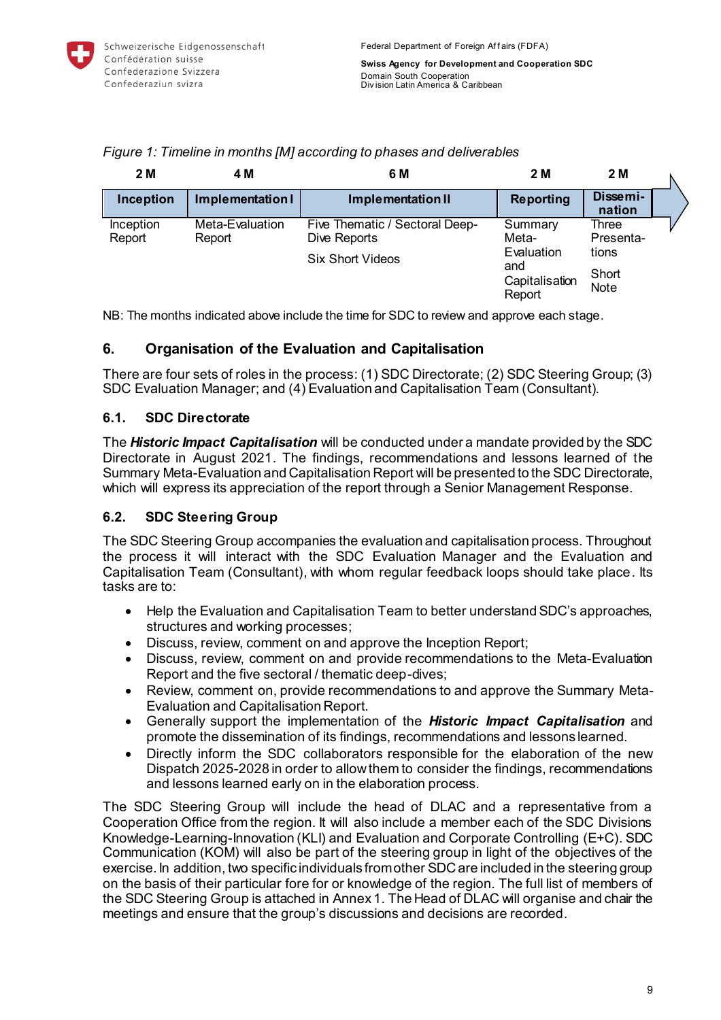| 2 M                 | 4 M                       | 6 M                                            | 2 M                                           | 2 M                |  |
|---------------------|---------------------------|------------------------------------------------|-----------------------------------------------|--------------------|--|
| Inception           | Implementation I          | <b>Implementation II</b>                       | <b>Reporting</b>                              | Dissemi-<br>nation |  |
| Inception<br>Report | Meta-Evaluation<br>Report | Five Thematic / Sectoral Deep-<br>Dive Reports | Summary<br>Meta-                              | Three<br>Presenta- |  |
|                     |                           | <b>Six Short Videos</b>                        | Evaluation<br>and<br>Capitalisation<br>Report | tions              |  |
|                     |                           |                                                |                                               | Short<br>Note      |  |

*Figure 1: Timeline in months [M] according to phases and deliverables*

NB: The months indicated above include the time for SDC to review and approve each stage.

# <span id="page-8-0"></span>**6. Organisation of the Evaluation and Capitalisation**

There are four sets of roles in the process: (1) SDC Directorate; (2) SDC Steering Group; (3) SDC Evaluation Manager; and (4) Evaluation and Capitalisation Team (Consultant).

# <span id="page-8-1"></span>**6.1. SDC Directorate**

The *Historic Impact Capitalisation* will be conducted under a mandate provided by the SDC Directorate in August 2021. The findings, recommendations and lessons learned of the Summary Meta-Evaluation and Capitalisation Report will be presented to the SDC Directorate, which will express its appreciation of the report through a Senior Management Response.

# <span id="page-8-2"></span>**6.2. SDC Steering Group**

The SDC Steering Group accompanies the evaluation and capitalisation process. Throughout the process it will interact with the SDC Evaluation Manager and the Evaluation and Capitalisation Team (Consultant), with whom regular feedback loops should take place. Its tasks are to:

- Help the Evaluation and Capitalisation Team to better understand SDC's approaches, structures and working processes;
- Discuss, review, comment on and approve the Inception Report;
- Discuss, review, comment on and provide recommendations to the Meta-Evaluation Report and the five sectoral / thematic deep-dives;
- Review, comment on, provide recommendations to and approve the Summary Meta-Evaluation and Capitalisation Report.
- Generally support the implementation of the *Historic Impact Capitalisation* and promote the dissemination of its findings, recommendations and lessons learned.
- Directly inform the SDC collaborators responsible for the elaboration of the new Dispatch 2025-2028 in order to allow them to consider the findings, recommendations and lessons learned early on in the elaboration process.

The SDC Steering Group will include the head of DLAC and a representative from a Cooperation Office from the region. It will also include a member each of the SDC Divisions Knowledge-Learning-Innovation (KLI) and Evaluation and Corporate Controlling (E+C). SDC Communication (KOM) will also be part of the steering group in light of the objectives of the exercise. In addition, two specific individuals from other SDCare included in the steering group on the basis of their particular fore for or knowledge of the region. The full list of members of the SDC Steering Group is attached in Annex 1. The Head of DLAC will organise and chair the meetings and ensure that the group's discussions and decisions are recorded.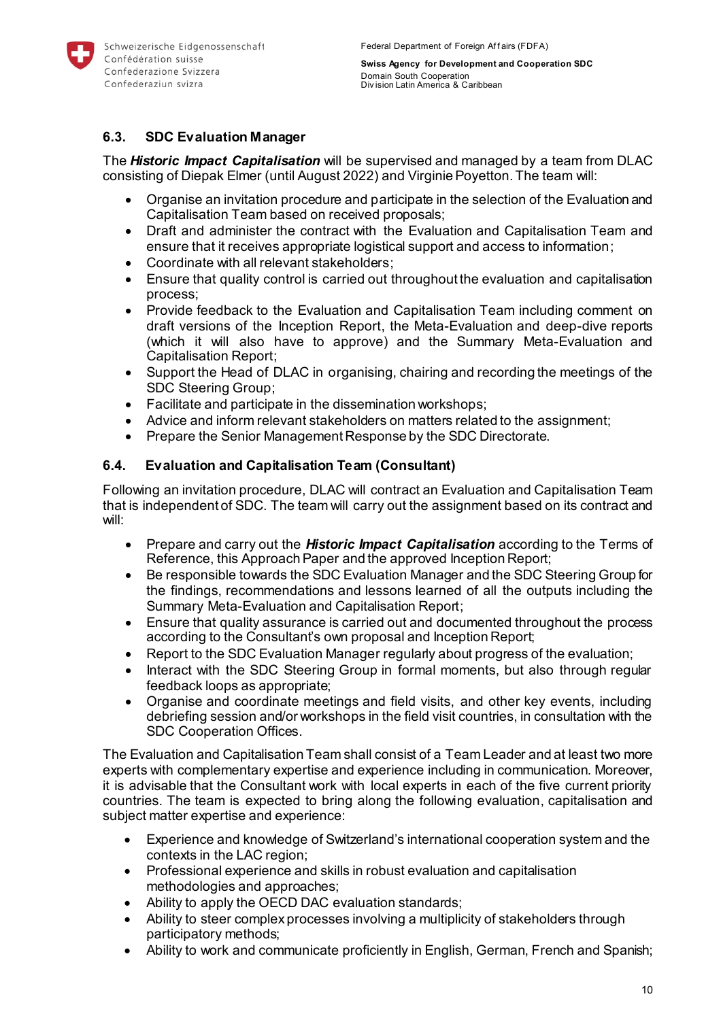

# <span id="page-9-0"></span>**6.3. SDC Evaluation Manager**

The *Historic Impact Capitalisation* will be supervised and managed by a team from DLAC consisting of Diepak Elmer (until August 2022) and Virginie Poyetton. The team will:

- Organise an invitation procedure and participate in the selection of the Evaluation and Capitalisation Team based on received proposals;
- Draft and administer the contract with the Evaluation and Capitalisation Team and ensure that it receives appropriate logistical support and access to information;
- Coordinate with all relevant stakeholders;
- Ensure that quality control is carried out throughout the evaluation and capitalisation process;
- Provide feedback to the Evaluation and Capitalisation Team including comment on draft versions of the Inception Report, the Meta-Evaluation and deep-dive reports (which it will also have to approve) and the Summary Meta-Evaluation and Capitalisation Report;
- Support the Head of DLAC in organising, chairing and recording the meetings of the SDC Steering Group;
- Facilitate and participate in the dissemination workshops;
- Advice and inform relevant stakeholders on matters related to the assignment;
- Prepare the Senior Management Response by the SDC Directorate.

## <span id="page-9-1"></span>**6.4. Evaluation and Capitalisation Team (Consultant)**

Following an invitation procedure, DLAC will contract an Evaluation and Capitalisation Team that is independent of SDC. The team will carry out the assignment based on its contract and will:

- Prepare and carry out the *Historic Impact Capitalisation* according to the Terms of Reference, this Approach Paper and the approved Inception Report;
- Be responsible towards the SDC Evaluation Manager and the SDC Steering Group for the findings, recommendations and lessons learned of all the outputs including the Summary Meta-Evaluation and Capitalisation Report;
- Ensure that quality assurance is carried out and documented throughout the process according to the Consultant's own proposal and Inception Report;
- Report to the SDC Evaluation Manager regularly about progress of the evaluation;
- Interact with the SDC Steering Group in formal moments, but also through regular feedback loops as appropriate;
- Organise and coordinate meetings and field visits, and other key events, including debriefing session and/or workshops in the field visit countries, in consultation with the SDC Cooperation Offices.

The Evaluation and Capitalisation Team shall consist of a Team Leader and at least two more experts with complementary expertise and experience including in communication. Moreover, it is advisable that the Consultant work with local experts in each of the five current priority countries. The team is expected to bring along the following evaluation, capitalisation and subject matter expertise and experience:

- Experience and knowledge of Switzerland's international cooperation system and the contexts in the LAC region;
- Professional experience and skills in robust evaluation and capitalisation methodologies and approaches;
- Ability to apply the OECD DAC evaluation standards;
- Ability to steer complex processes involving a multiplicity of stakeholders through participatory methods;
- Ability to work and communicate proficiently in English, German, French and Spanish;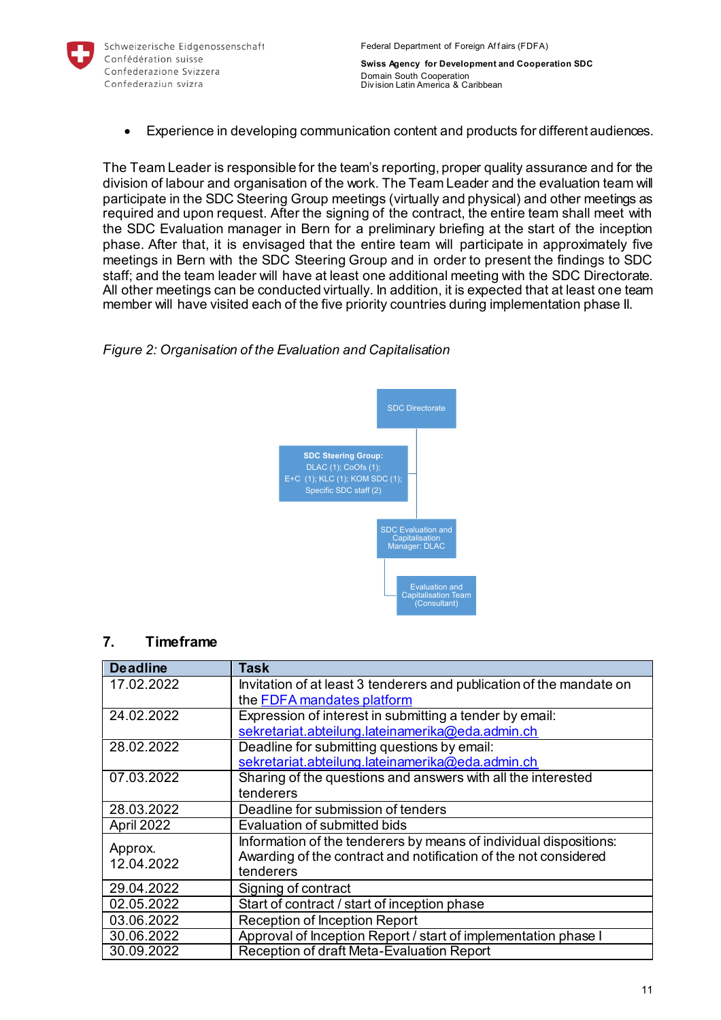

Experience in developing communication content and products for different audiences.

The Team Leader is responsible for the team's reporting, proper quality assurance and for the division of labour and organisation of the work. The Team Leader and the evaluation team will participate in the SDC Steering Group meetings (virtually and physical) and other meetings as required and upon request. After the signing of the contract, the entire team shall meet with the SDC Evaluation manager in Bern for a preliminary briefing at the start of the inception phase. After that, it is envisaged that the entire team will participate in approximately five meetings in Bern with the SDC Steering Group and in order to present the findings to SDC staff; and the team leader will have at least one additional meeting with the SDC Directorate. All other meetings can be conducted virtually. In addition, it is expected that at least one team member will have visited each of the five priority countries during implementation phase II.

## *Figure 2: Organisation of the Evaluation and Capitalisation*



# <span id="page-10-0"></span>**7. Timeframe**

| <b>Deadline</b> | Task                                                                 |
|-----------------|----------------------------------------------------------------------|
| 17.02.2022      | Invitation of at least 3 tenderers and publication of the mandate on |
|                 | the FDFA mandates platform                                           |
| 24.02.2022      | Expression of interest in submitting a tender by email:              |
|                 | sekretariat.abteilung.lateinamerika@eda.admin.ch                     |
| 28.02.2022      | Deadline for submitting questions by email:                          |
|                 | sekretariat.abteilung.lateinamerika@eda.admin.ch                     |
| 07.03.2022      | Sharing of the questions and answers with all the interested         |
|                 | tenderers                                                            |
| 28.03.2022      | Deadline for submission of tenders                                   |
| April 2022      | Evaluation of submitted bids                                         |
| Approx.         | Information of the tenderers by means of individual dispositions:    |
| 12.04.2022      | Awarding of the contract and notification of the not considered      |
|                 | tenderers                                                            |
| 29.04.2022      | Signing of contract                                                  |
| 02.05.2022      | Start of contract / start of inception phase                         |
| 03.06.2022      | Reception of Inception Report                                        |
| 30.06.2022      | Approval of Inception Report / start of implementation phase I       |
| 30.09.2022      | Reception of draft Meta-Evaluation Report                            |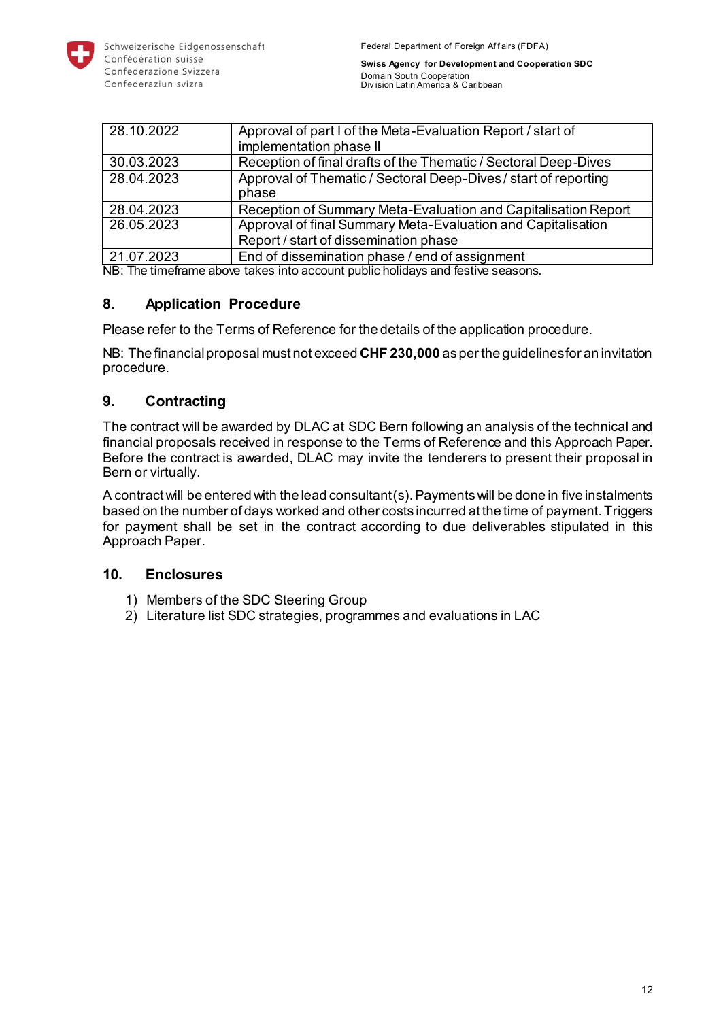

| 28.10.2022 | Approval of part I of the Meta-Evaluation Report / start of<br>implementation phase II                |
|------------|-------------------------------------------------------------------------------------------------------|
| 30.03.2023 | Reception of final drafts of the Thematic / Sectoral Deep-Dives                                       |
| 28.04.2023 | Approval of Thematic / Sectoral Deep-Dives / start of reporting<br>phase                              |
| 28.04.2023 | Reception of Summary Meta-Evaluation and Capitalisation Report                                        |
| 26.05.2023 | Approval of final Summary Meta-Evaluation and Capitalisation<br>Report / start of dissemination phase |
| 21.07.2023 | End of dissemination phase / end of assignment                                                        |

NB: The timeframe above takes into account public holidays and festive seasons.

# <span id="page-11-0"></span>**8. Application Procedure**

Please refer to the Terms of Reference for the details of the application procedure.

NB: The financial proposal must not exceed **CHF 230,000** as per the guidelines for an invitation procedure.

# <span id="page-11-1"></span>**9. Contracting**

The contract will be awarded by DLAC at SDC Bern following an analysis of the technical and financial proposals received in response to the Terms of Reference and this Approach Paper. Before the contract is awarded, DLAC may invite the tenderers to present their proposal in Bern or virtually.

A contract will be entered with the lead consultant(s). Payments will be done in five instalments based on the number of days worked and other costs incurred at the time of payment. Triggers for payment shall be set in the contract according to due deliverables stipulated in this Approach Paper.

### <span id="page-11-2"></span>**10. Enclosures**

- 1) Members of the SDC Steering Group
- 2) Literature list SDC strategies, programmes and evaluations in LAC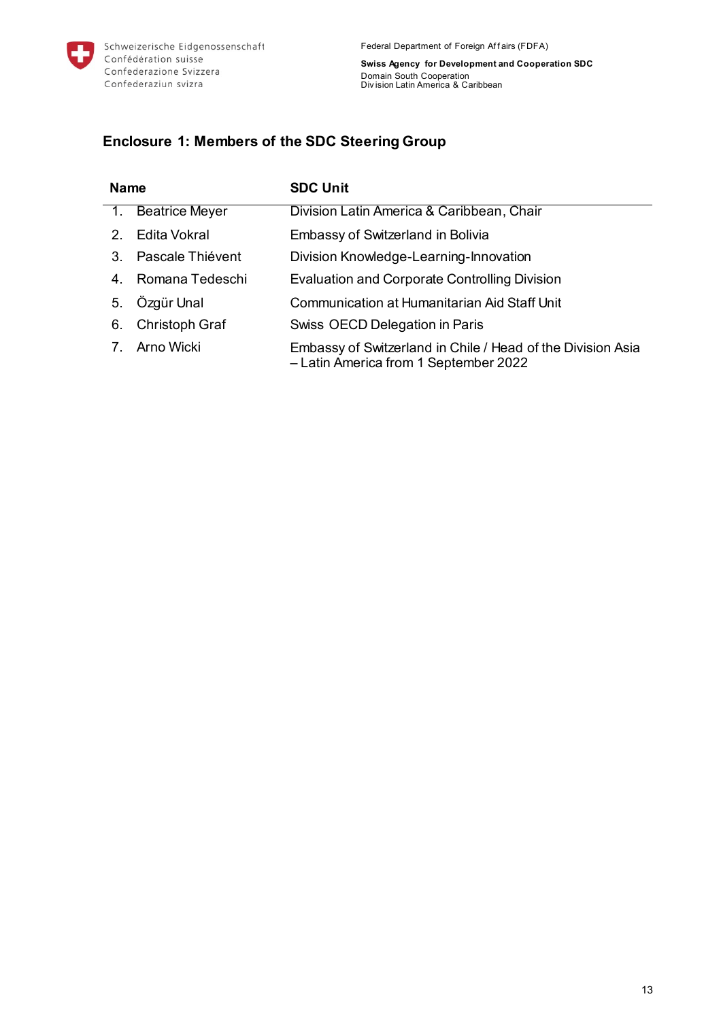

<span id="page-12-0"></span>**Enclosure 1: Members of the SDC Steering Group**

| <b>Name</b>                    |                       | <b>SDC Unit</b>                                                                                      |
|--------------------------------|-----------------------|------------------------------------------------------------------------------------------------------|
|                                | <b>Beatrice Meyer</b> | Division Latin America & Caribbean, Chair                                                            |
| $2_{-}$                        | <b>Edita Vokral</b>   | Embassy of Switzerland in Bolivia                                                                    |
| 3.                             | Pascale Thiévent      | Division Knowledge-Learning-Innovation                                                               |
| 4.                             | Romana Tedeschi       | <b>Evaluation and Corporate Controlling Division</b>                                                 |
| 5.                             | Özgür Unal            | Communication at Humanitarian Aid Staff Unit                                                         |
| 6.                             | Christoph Graf        | Swiss OECD Delegation in Paris                                                                       |
| $7_{\scriptscriptstyle{\sim}}$ | Arno Wicki            | Embassy of Switzerland in Chile / Head of the Division Asia<br>- Latin America from 1 September 2022 |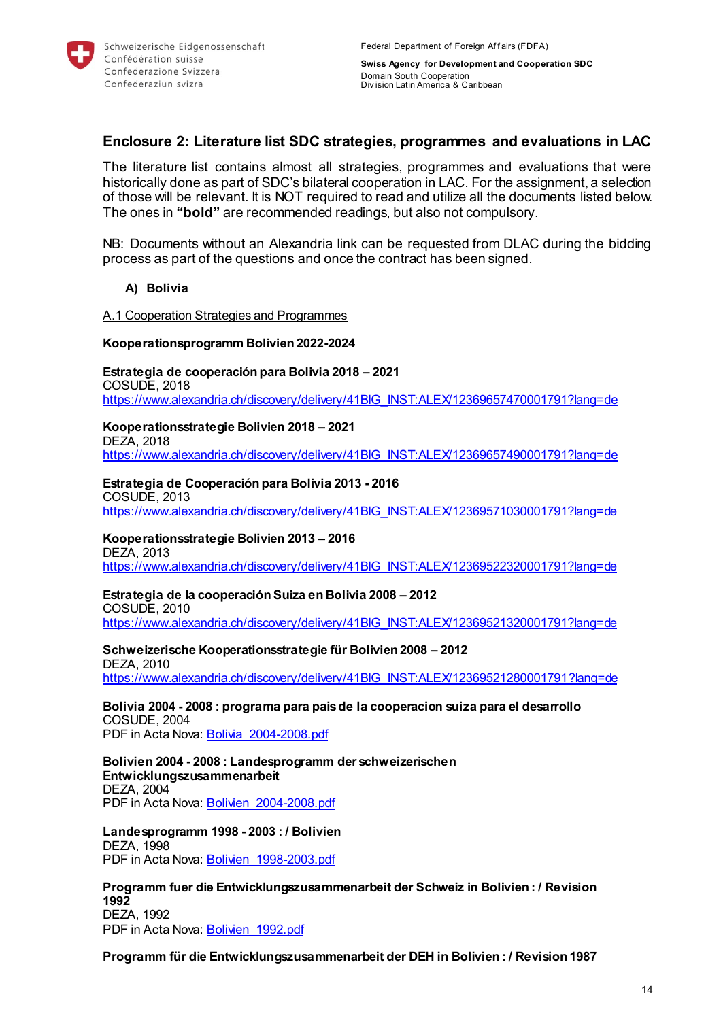

# <span id="page-13-0"></span>**Enclosure 2: Literature list SDC strategies, programmes and evaluations in LAC**

The literature list contains almost all strategies, programmes and evaluations that were historically done as part of SDC's bilateral cooperation in LAC. For the assignment, a selection of those will be relevant. It is NOT required to read and utilize all the documents listed below. The ones in **"bold"** are recommended readings, but also not compulsory.

NB: Documents without an Alexandria link can be requested from DLAC during the bidding process as part of the questions and once the contract has been signed.

#### **A) Bolivia**

#### A.1 Cooperation Strategies and Programmes

#### **Kooperationsprogramm Bolivien 2022-2024**

**Estrategia de cooperación para Bolivia 2018 – 2021**  COSUDE, 2018 [https://www.alexandria.ch/discovery/delivery/41BIG\\_INST:ALEX/12369657470001791?lang=de](https://www.alexandria.ch/discovery/delivery/41BIG_INST:ALEX/12369657470001791?lang=de)

#### **Kooperationsstrategie Bolivien 2018 – 2021**

DEZA, 2018 [https://www.alexandria.ch/discovery/delivery/41BIG\\_INST:ALEX/12369657490001791?lang=de](https://www.alexandria.ch/discovery/delivery/41BIG_INST:ALEX/12369657490001791?lang=de)

#### **Estrategia de Cooperación para Bolivia 2013 - 2016**

COSUDE, 2013 [https://www.alexandria.ch/discovery/delivery/41BIG\\_INST:ALEX/12369571030001791?lang=de](https://www.alexandria.ch/discovery/delivery/41BIG_INST:ALEX/12369571030001791?lang=de)

#### **Kooperationsstrategie Bolivien 2013 – 2016**

DEZA, 2013 [https://www.alexandria.ch/discovery/delivery/41BIG\\_INST:ALEX/12369522320001791?lang=de](https://www.alexandria.ch/discovery/delivery/41BIG_INST:ALEX/12369522320001791?lang=de)

#### **Estrategia de la cooperación Suiza en Bolivia 2008 – 2012**

COSUDE, 2010

[https://www.alexandria.ch/discovery/delivery/41BIG\\_INST:ALEX/12369521320001791?lang=de](https://www.alexandria.ch/discovery/delivery/41BIG_INST:ALEX/12369521320001791?lang=de)

#### **Schweizerische Kooperationsstrategie für Bolivien 2008 – 2012**

DEZA, 2010 [https://www.alexandria.ch/discovery/delivery/41BIG\\_INST:ALEX/12369521280001791?lang=de](https://www.alexandria.ch/discovery/delivery/41BIG_INST:ALEX/12369521280001791?lang=de)

#### **Bolivia 2004 - 2008 : programa para pais de la cooperacion suiza para el desarrollo**  COSUDE, 2004

PDF in Acta Nova: [Bolivia\\_2004-2008.pdf](https://object.gever.admin.ch/web/?ObjectToOpenID=%24ActaNovaDocument%7cE0C2C703-2983-481B-8884-56D087A567AD&TenantID=190&OpenContentOfProperty=ActiveContent)

**Bolivien 2004 - 2008 : Landesprogramm der schweizerischen Entwicklungszusammenarbeit**  DEZA, 2004 PDF in Acta Nova: Bolivien 2004-2008.pdf

**Landesprogramm 1998 - 2003 : / Bolivien**  DEZA, 1998 PDF in Acta Nova: Bolivien 1998-2003.pdf

**Programm fuer die Entwicklungszusammenarbeit der Schweiz in Bolivien : / Revision 1992**  DEZA, 1992

PDF in Acta Nova: [Bolivien\\_1992.pdf](https://object.gever.admin.ch/web/?ObjectToOpenID=%24ActaNovaDocument%7c8179505A-3B01-4445-B89A-4A2AC8CC858B&TenantID=190&OpenContentOfProperty=ActiveContent)

**Programm für die Entwicklungszusammenarbeit der DEH in Bolivien : / Revision 1987**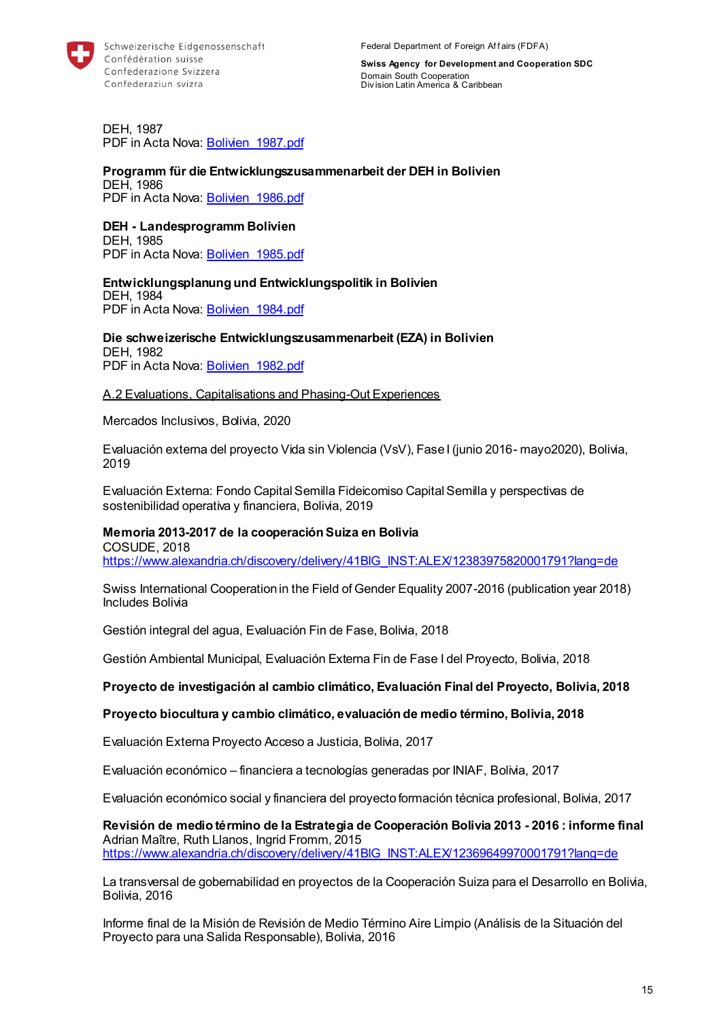

DEH, 1987 PDF in Acta Nova: Bolivien 1987.pdf

#### **Programm für die Entwicklungszusammenarbeit der DEH in Bolivien**  DEH, 1986 PDF in Acta Nova: Bolivien 1986.pdf

#### **DEH - Landesprogramm Bolivien**

DEH, 1985 PDF in Acta Nova: Bolivien 1985.pdf

#### **Entwicklungsplanung und Entwicklungspolitik in Bolivien**  DEH, 1984 PDF in Acta Nova: Bolivien 1984.pdf

**Die schweizerische Entwicklungszusammenarbeit (EZA) in Bolivien**  DEH, 1982 PDF in Acta Nova: Bolivien 1982.pdf

#### A.2 Evaluations, Capitalisations and Phasing-Out Experiences

Mercados Inclusivos, Bolivia, 2020

Evaluación externa del proyecto Vida sin Violencia (VsV), Fase I (junio 2016- mayo2020), Bolivia, 2019

Evaluación Externa: Fondo Capital Semilla Fideicomiso Capital Semilla y perspectivas de sostenibilidad operativa y financiera, Bolivia, 2019

#### **Memoria 2013-2017 de la cooperación Suiza en Bolivia**

COSUDE, 2018 [https://www.alexandria.ch/discovery/delivery/41BIG\\_INST:ALEX/12383975820001791?lang=de](https://www.alexandria.ch/discovery/delivery/41BIG_INST:ALEX/12383975820001791?lang=de)

Swiss International Cooperation in the Field of Gender Equality 2007-2016 (publication year 2018) Includes Bolivia

Gestión integral del agua, Evaluación Fin de Fase, Bolivia, 2018

Gestión Ambiental Municipal, Evaluación Externa Fin de Fase I del Proyecto, Bolivia, 2018

**Proyecto de investigación al cambio climático, Evaluación Final del Proyecto, Bolivia, 2018**

#### **Proyecto biocultura y cambio climático, evaluación de medio término, Bolivia, 2018**

Evaluación Externa Proyecto Acceso a Justicia, Bolivia, 2017

Evaluación económico – financiera a tecnologías generadas por INIAF, Bolivia, 2017

Evaluación económico social y financiera del proyecto formación técnica profesional, Bolivia, 2017

**Revisión de medio término de la Estrategia de Cooperación Bolivia 2013 - 2016 : informe final**  Adrian Maître, Ruth Llanos, Ingrid Fromm, 2015 [https://www.alexandria.ch/discovery/delivery/41BIG\\_INST:ALEX/12369649970001791?lang=de](https://www.alexandria.ch/discovery/delivery/41BIG_INST:ALEX/12369649970001791?lang=de)

La transversal de gobernabilidad en proyectos de la Cooperación Suiza para el Desarrollo en Bolivia, Bolivia, 2016

Informe final de la Misión de Revisión de Medio Término Aire Limpio (Análisis de la Situación del Proyecto para una Salida Responsable), Bolivia, 2016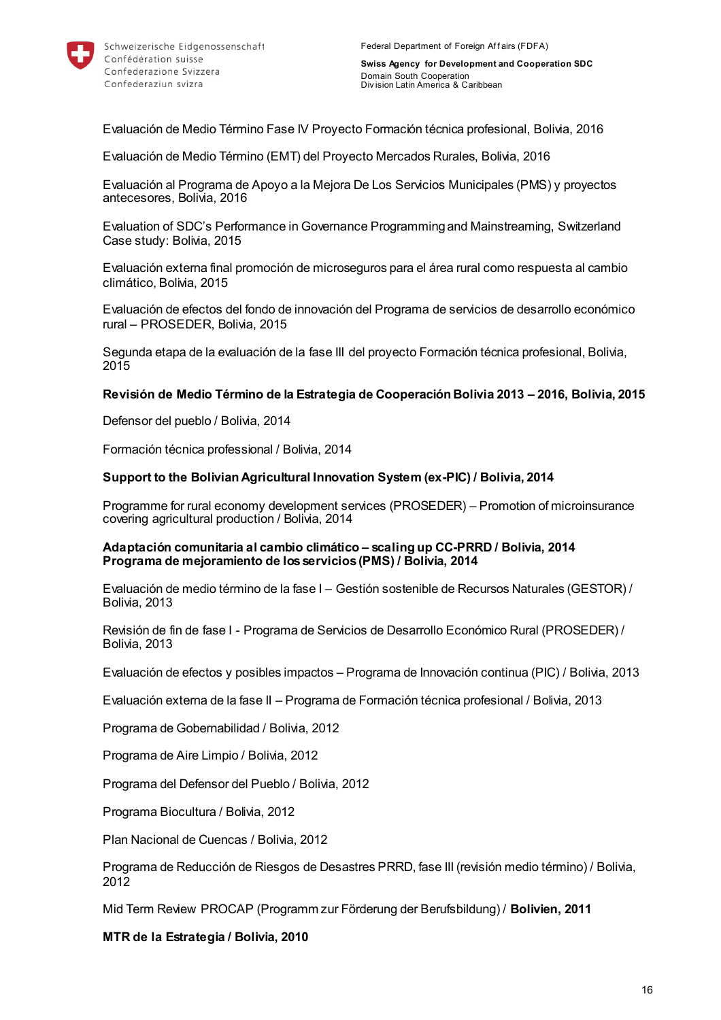

Evaluación de Medio Término Fase IV Proyecto Formación técnica profesional, Bolivia, 2016

Evaluación de Medio Término (EMT) del Proyecto Mercados Rurales, Bolivia, 2016

Evaluación al Programa de Apoyo a la Mejora De Los Servicios Municipales (PMS) y proyectos antecesores, Bolivia, 2016

Evaluation of SDC's Performance in Governance Programming and Mainstreaming, Switzerland Case study: Bolivia, 2015

Evaluación externa final promoción de microseguros para el área rural como respuesta al cambio climático, Bolivia, 2015

Evaluación de efectos del fondo de innovación del Programa de servicios de desarrollo económico rural – PROSEDER, Bolivia, 2015

Segunda etapa de la evaluación de la fase III del proyecto Formación técnica profesional, Bolivia, 2015

#### **Revisión de Medio Término de la Estrategia de Cooperación Bolivia 2013 – 2016, Bolivia, 2015**

Defensor del pueblo / Bolivia, 2014

Formación técnica professional / Bolivia, 2014

#### **Support to the Bolivian Agricultural Innovation System (ex-PIC) / Bolivia, 2014**

Programme for rural economy development services (PROSEDER) – Promotion of microinsurance covering agricultural production / Bolivia, 2014

#### **Adaptación comunitaria al cambio climático – scaling up CC-PRRD / Bolivia, 2014 Programa de mejoramiento de los servicios (PMS) / Bolivia, 2014**

Evaluación de medio término de la fase I – Gestión sostenible de Recursos Naturales (GESTOR) / Bolivia, 2013

Revisión de fin de fase I - Programa de Servicios de Desarrollo Económico Rural (PROSEDER) / Bolivia, 2013

Evaluación de efectos y posibles impactos – Programa de Innovación continua (PIC) / Bolivia, 2013

Evaluación externa de la fase II – Programa de Formación técnica profesional / Bolivia, 2013

Programa de Gobernabilidad / Bolivia, 2012

Programa de Aire Limpio / Bolivia, 2012

Programa del Defensor del Pueblo / Bolivia, 2012

Programa Biocultura / Bolivia, 2012

Plan Nacional de Cuencas / Bolivia, 2012

Programa de Reducción de Riesgos de Desastres PRRD, fase III (revisión medio término) / Bolivia, 2012

Mid Term Review PROCAP (Programm zur Förderung der Berufsbildung) / **Bolivien, 2011**

**MTR de la Estrategia / Bolivia, 2010**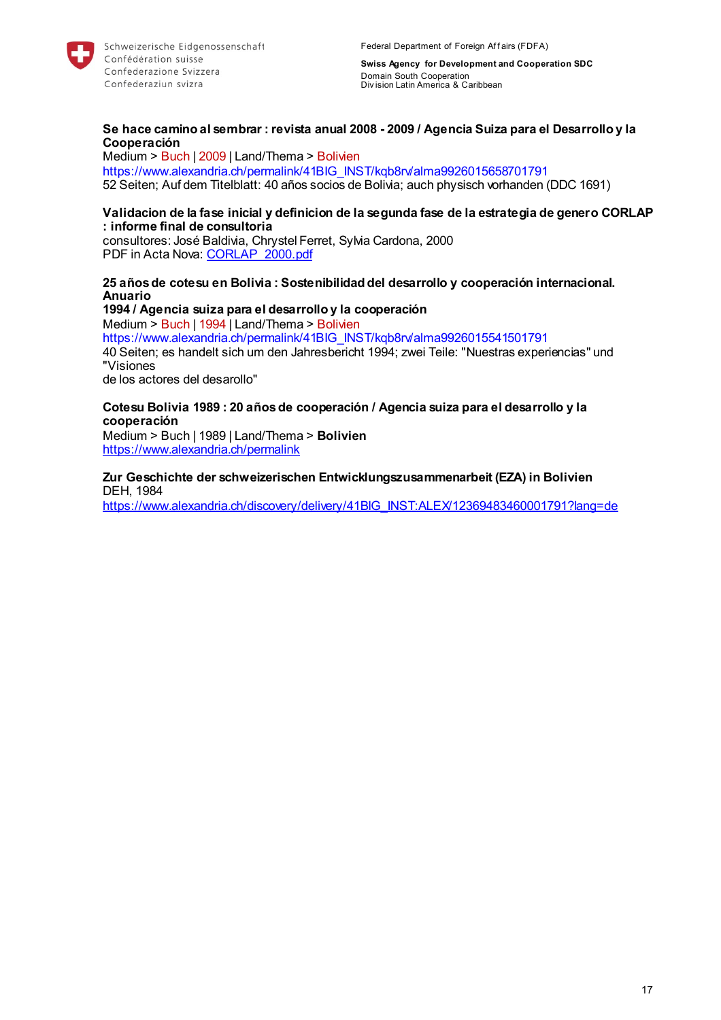

#### **Se hace camino al sembrar : revista anual 2008 - 2009 / Agencia Suiza para el Desarrollo y la Cooperación**

Medium > Buch | 2009 | Land/Thema > Bolivien https://www.alexandria.ch/permalink/41BIG\_INST/kqb8rv/alma9926015658701791 52 Seiten; Auf dem Titelblatt: 40 años socios de Bolivia; auch physisch vorhanden (DDC 1691)

#### **Validacion de la fase inicial y definicion de la segunda fase de la estrategia de genero CORLAP : informe final de consultoria**

consultores: José Baldivia, Chrystel Ferret, Sylvia Cardona, 2000 PDF in Acta Nova: [CORLAP\\_2000.pdf](https://object.gever.admin.ch/web/?ObjectToOpenID=%24ActaNovaDocument%7c0EC5199D-C7CF-4975-A9CC-8D372A79CBE3&TenantID=190&OpenContentOfProperty=ActiveContent)

#### **25 años de cotesu en Bolivia : Sostenibilidad del desarrollo y cooperación internacional. Anuario**

**1994 / Agencia suiza para el desarrollo y la cooperación** Medium > Buch | 1994 | Land/Thema > Bolivien https://www.alexandria.ch/permalink/41BIG\_INST/kqb8rv/alma9926015541501791 40 Seiten; es handelt sich um den Jahresbericht 1994; zwei Teile: "Nuestras experiencias" und "Visiones de los actores del desarollo"

#### **Cotesu Bolivia 1989 : 20 años de cooperación / Agencia suiza para el desarrollo y la cooperación**

Medium > Buch | 1989 | Land/Thema > **Bolivien**  <https://www.alexandria.ch/permalink>

**Zur Geschichte der schweizerischen Entwicklungszusammenarbeit (EZA) in Bolivien**  DEH, 1984

[https://www.alexandria.ch/discovery/delivery/41BIG\\_INST:ALEX/12369483460001791?lang=de](https://www.alexandria.ch/discovery/delivery/41BIG_INST:ALEX/12369483460001791?lang=de)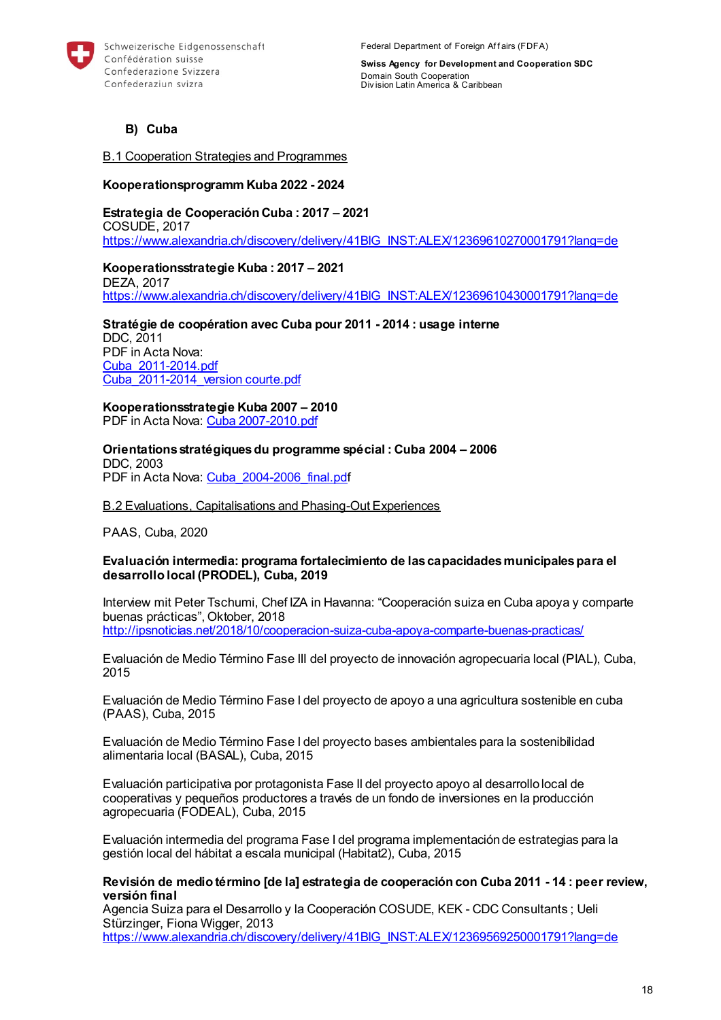

Federal Department of Foreign Affairs (FDFA)

**Swiss Agency for Development and Cooperation SDC** Domain South Cooperation Div ision Latin America & Caribbean

**B) Cuba**

B.1 Cooperation Strategies and Programmes

#### **Kooperationsprogramm Kuba 2022 - 2024**

**Estrategia de Cooperación Cuba : 2017 – 2021**  COSUDE, 2017 [https://www.alexandria.ch/discovery/delivery/41BIG\\_INST:ALEX/12369610270001791?lang=de](https://www.alexandria.ch/discovery/delivery/41BIG_INST:ALEX/12369610270001791?lang=de)

**Kooperationsstrategie Kuba : 2017 – 2021**  DEZA, 2017 [https://www.alexandria.ch/discovery/delivery/41BIG\\_INST:ALEX/12369610430001791?lang=de](https://www.alexandria.ch/discovery/delivery/41BIG_INST:ALEX/12369610430001791?lang=de)

**Stratégie de coopération avec Cuba pour 2011 - 2014 : usage interne**  DDC, 2011 PDF in Acta Nova: [Cuba\\_2011-2014.pdf](https://object.gever.admin.ch/web/?ObjectToOpenID=%24ActaNovaDocument%7cD2396784-2925-4C04-AF52-1A9CD03EE60E&TenantID=190&OpenContentOfProperty=ActiveContent) [Cuba\\_2011-2014\\_version courte.pdf](https://object.gever.admin.ch/web/?ObjectToOpenID=%24ActaNovaDocument%7cBE25D6BC-1156-44CA-B1E0-9F07BC0B00EB&TenantID=190&OpenContentOfProperty=ActiveContent)

**Kooperationsstrategie Kuba 2007 – 2010** PDF in Acta Nova: [Cuba 2007-2010.pdf](https://object.gever.admin.ch/web/?ObjectToOpenID=%24ActaNovaDocument%7c4FB488D3-B985-4641-B865-862372EFC193&TenantID=190&OpenContentOfProperty=ActiveContent)

**Orientations stratégiques du programme spécial : Cuba 2004 – 2006**  DDC, 2003 PDF in Acta Nova: [Cuba\\_2004-2006\\_final.pdf](https://object.gever.admin.ch/web/?ObjectToOpenID=%24ActaNovaDocument%7c48F9FC5B-C14A-42D3-97B6-9C628F838E95&TenantID=190&OpenContentOfProperty=ActiveContent)

B.2 Evaluations, Capitalisations and Phasing-Out Experiences

PAAS, Cuba, 2020

#### **Evaluación intermedia: programa fortalecimiento de las capacidades municipales para el desarrollo local (PRODEL), Cuba, 2019**

Interview mit Peter Tschumi, Chef IZA in Havanna: "Cooperación suiza en Cuba apoya y comparte buenas prácticas", Oktober, 2018 <http://ipsnoticias.net/2018/10/cooperacion-suiza-cuba-apoya-comparte-buenas-practicas/>

Evaluación de Medio Término Fase III del proyecto de innovación agropecuaria local (PIAL), Cuba, 2015

Evaluación de Medio Término Fase I del proyecto de apoyo a una agricultura sostenible en cuba (PAAS), Cuba, 2015

Evaluación de Medio Término Fase I del proyecto bases ambientales para la sostenibilidad alimentaria local (BASAL), Cuba, 2015

Evaluación participativa por protagonista Fase II del proyecto apoyo al desarrollo local de cooperativas y pequeños productores a través de un fondo de inversiones en la producción agropecuaria (FODEAL), Cuba, 2015

Evaluación intermedia del programa Fase I del programa implementación de estrategias para la gestión local del hábitat a escala municipal (Habitat2), Cuba, 2015

#### **Revisión de medio término [de la] estrategia de cooperación con Cuba 2011 - 14 : peer review, versión final**

Agencia Suiza para el Desarrollo y la Cooperación COSUDE, KEK - CDC Consultants ; Ueli Stürzinger, Fiona Wigger, 2013 [https://www.alexandria.ch/discovery/delivery/41BIG\\_INST:ALEX/12369569250001791?lang=de](https://www.alexandria.ch/discovery/delivery/41BIG_INST:ALEX/12369569250001791?lang=de)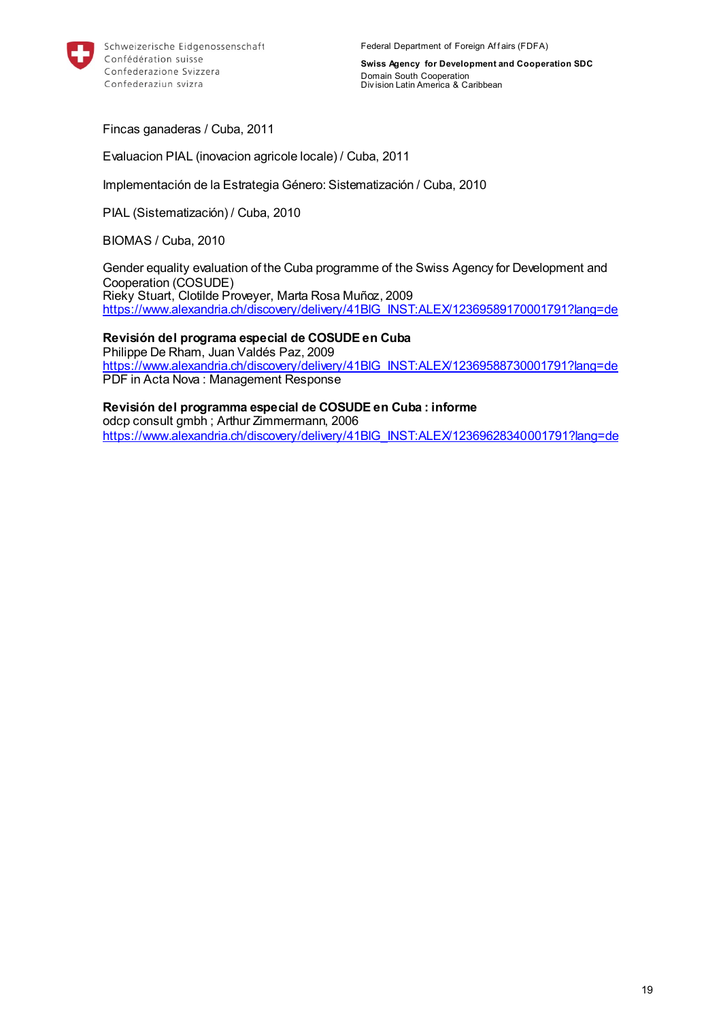

Fincas ganaderas / Cuba, 2011

Evaluacion PIAL (inovacion agricole locale) / Cuba, 2011

Implementación de la Estrategia Género: Sistematización / Cuba, 2010

PIAL (Sistematización) / Cuba, 2010

BIOMAS / Cuba, 2010

Gender equality evaluation of the Cuba programme of the Swiss Agency for Development and Cooperation (COSUDE) Rieky Stuart, Clotilde Proveyer, Marta Rosa Muñoz, 2009 [https://www.alexandria.ch/discovery/delivery/41BIG\\_INST:ALEX/12369589170001791?lang=de](https://www.alexandria.ch/discovery/delivery/41BIG_INST:ALEX/12369589170001791?lang=de)

**Revisión del programa especial de COSUDE en Cuba**  Philippe De Rham, Juan Valdés Paz, 2009 [https://www.alexandria.ch/discovery/delivery/41BIG\\_INST:ALEX/12369588730001791?lang=de](https://www.alexandria.ch/discovery/delivery/41BIG_INST:ALEX/12369588730001791?lang=de) PDF in Acta Nova : Management Response

**Revisión del programma especial de COSUDE en Cuba : informe**  odcp consult gmbh ; Arthur Zimmermann, 2006 [https://www.alexandria.ch/discovery/delivery/41BIG\\_INST:ALEX/12369628340001791?lang=de](https://www.alexandria.ch/discovery/delivery/41BIG_INST:ALEX/12369628340001791?lang=de)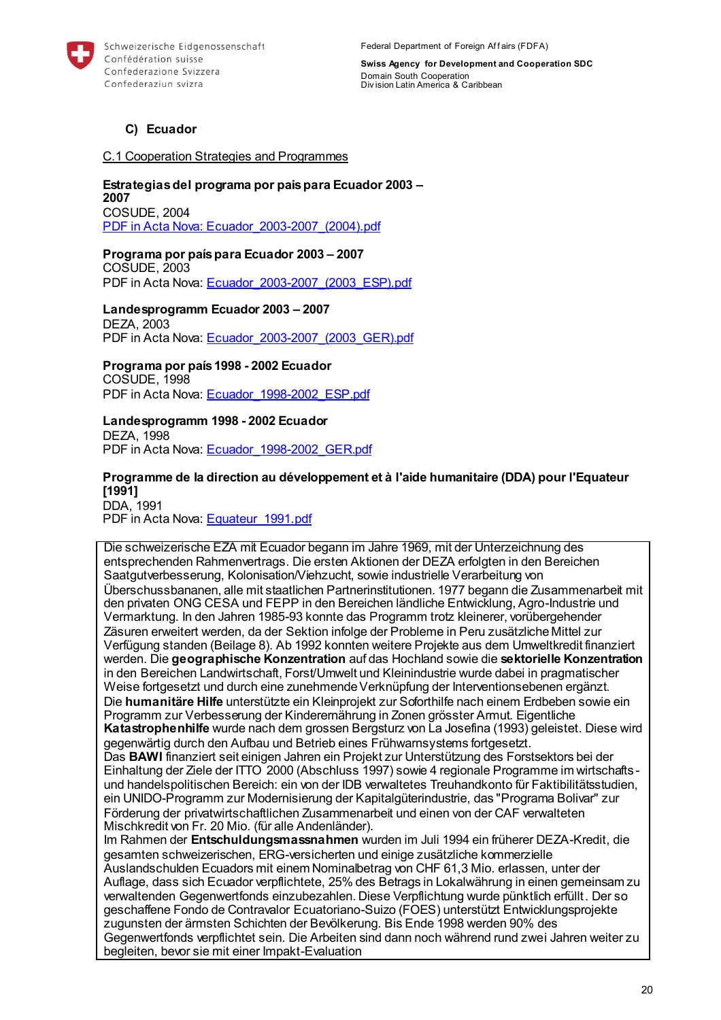

Federal Department of Foreign Affairs (FDFA)

**Swiss Agency for Development and Cooperation SDC** Domain South Cooperation Div ision Latin America & Caribbean

### **C) Ecuador**

#### C.1 Cooperation Strategies and Programmes

#### **Estrategias del programa por pais para Ecuador 2003 – 2007**  COSUDE, 2004 [PDF in Acta Nova: Ecuador\\_2003-2007\\_\(2004\).pdf](https://object.gever.admin.ch/web/?ObjectToOpenID=%24ActaNovaDocument%7c1F4BE4CE-24BA-4EE3-A9C3-57419DB4F5E9&TenantID=190&OpenContentOfProperty=ActiveContent)

# **Programa por país para Ecuador 2003 – 2007**

COSUDE, 2003 PDF in Acta Nova: Ecuador 2003-2007 (2003 ESP).pdf

#### **Landesprogramm Ecuador 2003 – 2007**  DEZA, 2003

PDF in Acta Nova: Ecuador 2003-2007 (2003 GER).pdf

#### **Programa por país 1998 - 2002 Ecuador**  COSUDE, 1998 PDF in Acta Nova: Ecuador 1998-2002 ESP.pdf

### **Landesprogramm 1998 - 2002 Ecuador**

DEZA, 1998 PDF in Acta Nova: Ecuador 1998-2002 GER.pdf

#### **Programme de la direction au développement et à l'aide humanitaire (DDA) pour l'Equateur [1991]**  DDA, 1991

PDF in Acta Nova: [Equateur\\_1991.pdf](https://object.gever.admin.ch/web/?ObjectToOpenID=%24ActaNovaDocument%7c3C402E56-E43D-44EA-87D5-2BC7BBE05C6E&TenantID=190&OpenContentOfProperty=ActiveContent)

Die schweizerische EZA mit Ecuador begann im Jahre 1969, mit der Unterzeichnung des entsprechenden Rahmenvertrags. Die ersten Aktionen der DEZA erfolgten in den Bereichen Saatgutverbesserung, Kolonisation/Viehzucht, sowie industrielle Verarbeitung von Überschussbananen, alle mit staatlichen Partnerinstitutionen. 1977 begann die Zusammenarbeit mit den privaten ONG CESA und FEPP in den Bereichen ländliche Entwicklung, Agro-Industrie und Vermarktung. In den Jahren 1985-93 konnte das Programm trotz kleinerer, vorübergehender Zäsuren erweitert werden, da der Sektion infolge der Probleme in Peru zusätzliche Mittel zur Verfügung standen (Beilage 8). Ab 1992 konnten weitere Projekte aus dem Umweltkredit finanziert werden. Die **geographische Konzentration** auf das Hochland sowie die **sektorielle Konzentration**  in den Bereichen Landwirtschaft, Forst/Umwelt und Kleinindustrie wurde dabei in pragmatischer Weise fortgesetzt und durch eine zunehmende Verknüpfung der Interventionsebenen ergänzt. Die **humanitäre Hilfe** unterstützte ein Kleinprojekt zur Soforthilfe nach einem Erdbeben sowie ein Programm zur Verbesserung der Kinderernährung in Zonen grösster Armut. Eigentliche **Katastrophenhilfe** wurde nach dem grossen Bergsturz von La Josefina (1993) geleistet. Diese wird gegenwärtig durch den Aufbau und Betrieb eines Frühwarnsystems fortgesetzt. Das **BAWI** finanziert seit einigen Jahren ein Projekt zur Unterstützung des Forstsektors bei der Einhaltung der Ziele der ITTO 2000 (Abschluss 1997) sowie 4 regionale Programme im wirtschafts und handelspolitischen Bereich: ein von der IDB verwaltetes Treuhandkonto für Faktibilitätsstudien, ein UNIDO-Programm zur Modernisierung der Kapitalgüterindustrie, das "Programa Bolivar" zur Förderung der privatwirtschaftlichen Zusammenarbeit und einen von der CAF verwalteten Mischkredit von Fr. 20 Mio. (für alle Andenländer). Im Rahmen der **Entschuldungsmassnahmen** wurden im Juli 1994 ein früherer DEZA-Kredit, die gesamten schweizerischen, ERG-versicherten und einige zusätzliche kommerzielle Auslandschulden Ecuadors mit einem Nominalbetrag von CHF 61,3 Mio. erlassen, unter der Auflage, dass sich Ecuador verpflichtete, 25% des Betrags in Lokalwährung in einen gemeinsam zu verwaltenden Gegenwertfonds einzubezahlen. Diese Verpflichtung wurde pünktlich erfüllt. Der so geschaffene Fondo de Contravalor Ecuatoriano-Suizo (FOES) unterstützt Entwicklungsprojekte zugunsten der ärmsten Schichten der Bevölkerung. Bis Ende 1998 werden 90% des Gegenwertfonds verpflichtet sein. Die Arbeiten sind dann noch während rund zwei Jahren weiter zu begleiten, bevor sie mit einer Impakt-Evaluation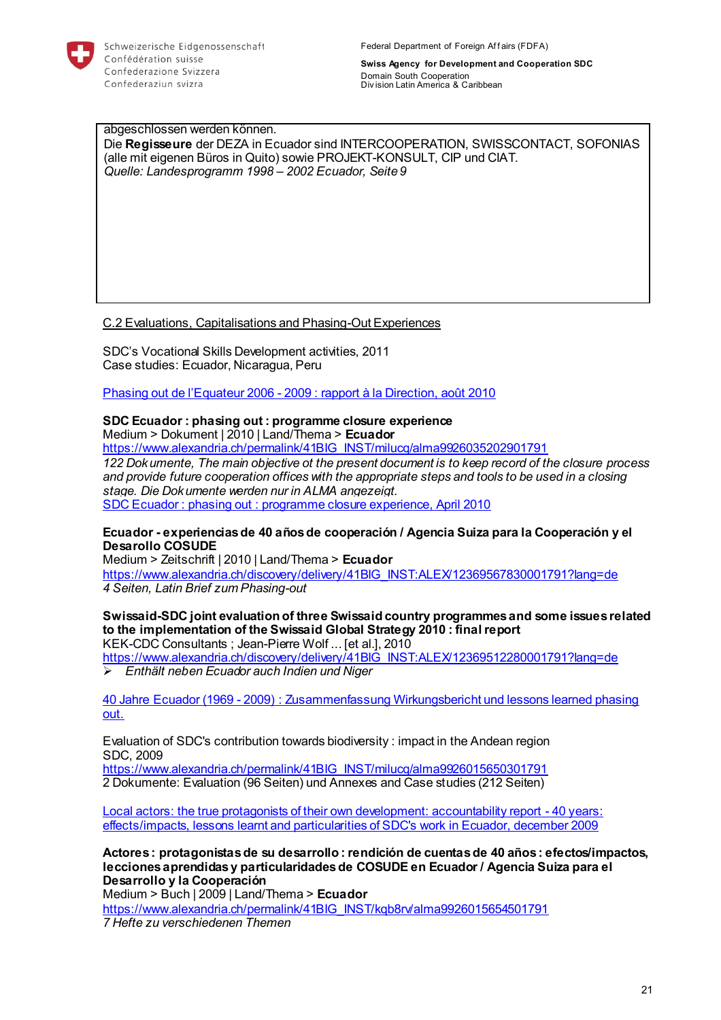

Federal Department of Foreign Affairs (FDFA)

**Swiss Agency for Development and Cooperation SDC** Domain South Cooperation Div ision Latin America & Caribbean

abgeschlossen werden können. Die **Regisseure** der DEZA in Ecuador sind INTERCOOPERATION, SWISSCONTACT, SOFONIAS (alle mit eigenen Büros in Quito) sowie PROJEKT-KONSULT, CIP und CIAT. *Quelle: Landesprogramm 1998 – 2002 Ecuador, Seite 9* 

### C.2 Evaluations, Capitalisations and Phasing-Out Experiences

SDC's Vocational Skills Development activities, 2011 Case studies: Ecuador, Nicaragua, Peru

Phasing out de l'Equateur 2006 - [2009 : rapport à la Direction, août 2010](https://eu.alma.exlibrisgroup.com/view/delivery/41BIG_INST/12369511560001791)

### **SDC Ecuador : phasing out : programme closure experience**

Medium > Dokument | 2010 | Land/Thema > **Ecuador** 

[https://www.alexandria.ch/permalink/41BIG\\_INST/milucq/alma9926035202901791](https://www.alexandria.ch/permalink/41BIG_INST/milucq/alma9926035202901791)

*122 Dokumente, The main objective ot the present document is to keep record of the closure process and provide future cooperation offices with the appropriate steps and tools to be used in a closing stage. Die Dokumente werden nur in ALMA angezeigt.*  SDC Ecuador : phasing out [: programme closure experience, April 2010](https://eu.alma.exlibrisgroup.com/view/delivery/41BIG_INST/12366977650001791)

#### **Ecuador - experiencias de 40 años de cooperación / Agencia Suiza para la Cooperación y el Desarollo COSUDE**

Medium > Zeitschrift | 2010 | Land/Thema > **Ecuador**  [https://www.alexandria.ch/discovery/delivery/41BIG\\_INST:ALEX/12369567830001791?lang=de](https://www.alexandria.ch/discovery/delivery/41BIG_INST:ALEX/12369567830001791?lang=de) *4 Seiten, Latin Brief zum Phasing-out*

#### **Swissaid-SDC joint evaluation of three Swissaid country programmes and some issues related to the implementation of the Swissaid Global Strategy 2010 : final report**  KEK-CDC Consultants ; Jean-Pierre Wolf ... [et al.], 2010

[https://www.alexandria.ch/discovery/delivery/41BIG\\_INST:ALEX/12369512280001791?lang=de](https://www.alexandria.ch/discovery/delivery/41BIG_INST:ALEX/12369512280001791?lang=de) *Enthält neben Ecuador auch Indien und Niger* 

40 Jahre Ecuador (1969 - [2009\) : Zusammenfassung Wirkungsbericht und lessons learned phasing](https://eu.alma.exlibrisgroup.com/view/delivery/41BIG_INST/12369522900001791)  [out.](https://eu.alma.exlibrisgroup.com/view/delivery/41BIG_INST/12369522900001791)

Evaluation of SDC's contribution towards biodiversity : impact in the Andean region SDC, 2009

[https://www.alexandria.ch/permalink/41BIG\\_INST/milucq/alma9926015650301791](https://www.alexandria.ch/permalink/41BIG_INST/milucq/alma9926015650301791) 2 Dokumente: Evaluation (96 Seiten) und Annexes and Case studies (212 Seiten)

[Local actors: the true protagonists of their own development: accountability report -](https://eu.alma.exlibrisgroup.com/view/delivery/41BIG_INST/12369536160001791) 40 years: [effects/impacts, lessons learnt and particularities of SDC's work in Ecuador, december 2009](https://eu.alma.exlibrisgroup.com/view/delivery/41BIG_INST/12369536160001791)

**Actores : protagonistas de su desarrollo : rendición de cuentas de 40 años : efectos/impactos, lecciones aprendidas y particularidades de COSUDE en Ecuador / Agencia Suiza para el Desarrollo y la Cooperación** 

Medium > Buch | 2009 | Land/Thema > **Ecuador** 

[https://www.alexandria.ch/permalink/41BIG\\_INST/kqb8rv/alma9926015654501791](https://www.alexandria.ch/permalink/41BIG_INST/kqb8rv/alma9926015654501791)

*7 Hefte zu verschiedenen Themen*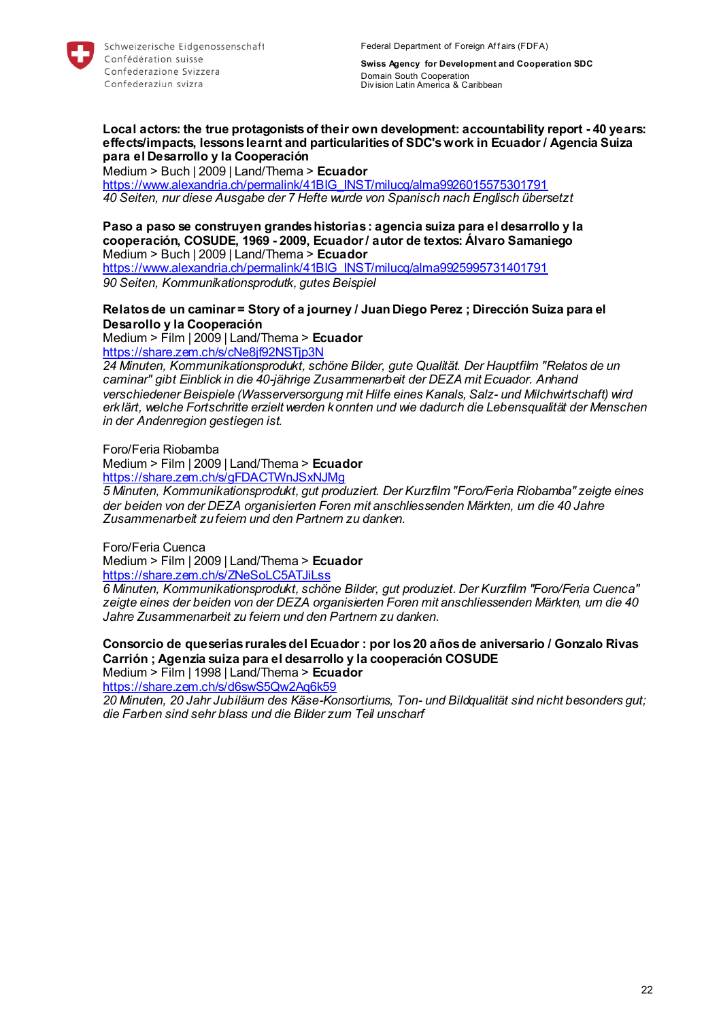

#### **Local actors: the true protagonists of their own development: accountability report - 40 years: effects/impacts, lessons learnt and particularities of SDC's work in Ecuador / Agencia Suiza para el Desarrollo y la Cooperación**

Medium > Buch | 2009 | Land/Thema > **Ecuador** 

[https://www.alexandria.ch/permalink/41BIG\\_INST/milucq/alma9926015575301791](https://www.alexandria.ch/permalink/41BIG_INST/milucq/alma9926015575301791) *40 Seiten, nur diese Ausgabe der 7 Hefte wurde von Spanisch nach Englisch übersetzt* 

**Paso a paso se construyen grandes historias : agencia suiza para el desarrollo y la cooperación, COSUDE, 1969 - 2009, Ecuador / autor de textos: Álvaro Samaniego**  Medium > Buch | 2009 | Land/Thema > **Ecuador** 

[https://www.alexandria.ch/permalink/41BIG\\_INST/milucq/alma9925995731401791](https://www.alexandria.ch/permalink/41BIG_INST/milucq/alma9925995731401791) *90 Seiten, Kommunikationsprodutk, gutes Beispiel* 

### **Relatos de un caminar = Story of a journey / Juan Diego Perez ; Dirección Suiza para el Desarollo y la Cooperación**

Medium > Film | 2009 | Land/Thema > **Ecuador**  <https://share.zem.ch/s/cNe8jf92NSTjp3N>

*24 Minuten, Kommunikationsprodukt, schöne Bilder, gute Qualität. Der Hauptfilm "Relatos de un caminar" gibt Einblick in die 40-jährige Zusammenarbeit der DEZA mit Ecuador. Anhand verschiedener Beispiele (Wasserversorgung mit Hilfe eines Kanals, Salz- und Milchwirtschaft) wird erklärt, welche Fortschritte erzielt werden konnten und wie dadurch die Lebensqualität der Menschen in der Andenregion gestiegen ist.* 

Foro/Feria Riobamba

Medium > Film | 2009 | Land/Thema > **Ecuador**  <https://share.zem.ch/s/gFDACTWnJSxNJMg>

*5 Minuten, Kommunikationsprodukt, gut produziert. Der Kurzfilm "Foro/Feria Riobamba" zeigte eines der beiden von der DEZA organisierten Foren mit anschliessenden Märkten, um die 40 Jahre Zusammenarbeit zu feiern und den Partnern zu danken.* 

Foro/Feria Cuenca

Medium > Film | 2009 | Land/Thema > **Ecuador** 

<https://share.zem.ch/s/ZNeSoLC5ATJiLss>

*6 Minuten, Kommunikationsprodukt, schöne Bilder, gut produziet. Der Kurzfilm "Foro/Feria Cuenca" zeigte eines der beiden von der DEZA organisierten Foren mit anschliessenden Märkten, um die 40 Jahre Zusammenarbeit zu feiern und den Partnern zu danken.*

#### **Consorcio de queserias rurales del Ecuador : por los 20 años de aniversario / Gonzalo Rivas Carrión ; Agenzia suiza para el desarrollo y la cooperación COSUDE**  Medium > Film | 1998 | Land/Thema > **Ecuador**

<https://share.zem.ch/s/d6swS5Qw2Aq6k59>

*20 Minuten, 20 Jahr Jubiläum des Käse-Konsortiums, Ton- und Bildqualität sind nicht besonders gut; die Farben sind sehr blass und die Bilder zum Teil unscharf*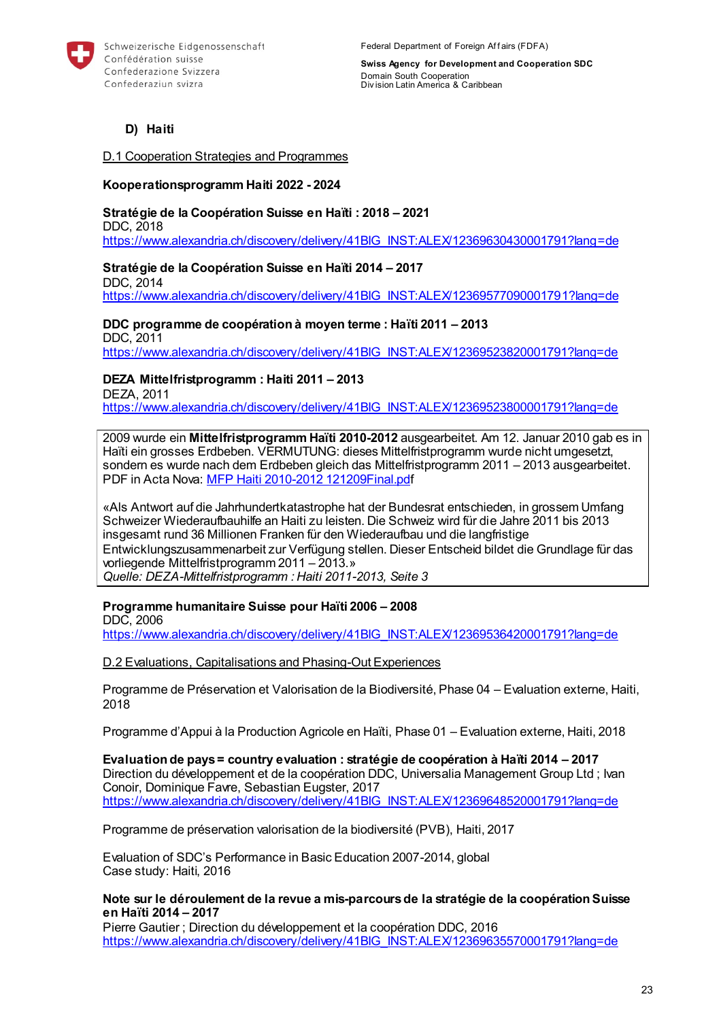

### **D) Haiti**

D.1 Cooperation Strategies and Programmes

#### **Kooperationsprogramm Haiti 2022 - 2024**

**Stratégie de la Coopération Suisse en Haïti : 2018 – 2021**  DDC, 2018 [https://www.alexandria.ch/discovery/delivery/41BIG\\_INST:ALEX/12369630430001791?lang=de](https://www.alexandria.ch/discovery/delivery/41BIG_INST:ALEX/12369630430001791?lang=de)

**Stratégie de la Coopération Suisse en Haïti 2014 – 2017**  DDC, 2014 [https://www.alexandria.ch/discovery/delivery/41BIG\\_INST:ALEX/12369577090001791?lang=de](https://www.alexandria.ch/discovery/delivery/41BIG_INST:ALEX/12369577090001791?lang=de)

**DDC programme de coopération à moyen terme : Haïti 2011 – 2013**  DDC, 2011 [https://www.alexandria.ch/discovery/delivery/41BIG\\_INST:ALEX/12369523820001791?lang=de](https://www.alexandria.ch/discovery/delivery/41BIG_INST:ALEX/12369523820001791?lang=de)

### **DEZA Mittelfristprogramm : Haiti 2011 – 2013**

DEZA, 2011

[https://www.alexandria.ch/discovery/delivery/41BIG\\_INST:ALEX/12369523800001791?lang=de](https://www.alexandria.ch/discovery/delivery/41BIG_INST:ALEX/12369523800001791?lang=de)

2009 wurde ein **Mittelfristprogramm Haïti 2010-2012** ausgearbeitet. Am 12. Januar 2010 gab es in Haïti ein grosses Erdbeben. VERMUTUNG: dieses Mittelfristprogramm wurde nicht umgesetzt, sondern es wurde nach dem Erdbeben gleich das Mittelfristprogramm 2011 – 2013 ausgearbeitet. PDF in Acta Nova: [MFP Haiti 2010-2012 121209Final.pdf](https://object.gever.admin.ch/web/?ObjectToOpenID=%24ActaNovaDocument%7cCF2B5429-682B-44C7-A0E6-962582780005&TenantID=190&OpenContentOfProperty=ActiveContent)

«Als Antwort auf die Jahrhundertkatastrophe hat der Bundesrat entschieden, in grossem Umfang Schweizer Wiederaufbauhilfe an Haiti zu leisten. Die Schweiz wird für die Jahre 2011 bis 2013 insgesamt rund 36 Millionen Franken für den Wiederaufbau und die langfristige Entwicklungszusammenarbeit zur Verfügung stellen. Dieser Entscheid bildet die Grundlage für das vorliegende Mittelfristprogramm 2011 – 2013.» *Quelle: DEZA-Mittelfristprogramm : Haiti 2011-2013, Seite 3* 

### **Programme humanitaire Suisse pour Haïti 2006 – 2008**

DDC, 2006 [https://www.alexandria.ch/discovery/delivery/41BIG\\_INST:ALEX/12369536420001791?lang=de](https://www.alexandria.ch/discovery/delivery/41BIG_INST:ALEX/12369536420001791?lang=de)

D.2 Evaluations, Capitalisations and Phasing-Out Experiences

Programme de Préservation et Valorisation de la Biodiversité, Phase 04 – Evaluation externe, Haiti, 2018

Programme d'Appui à la Production Agricole en Haïti, Phase 01 – Evaluation externe, Haiti, 2018

**Evaluation de pays = country evaluation : stratégie de coopération à Haïti 2014 – 2017**  Direction du développement et de la coopération DDC, Universalia Management Group Ltd ; Ivan Conoir, Dominique Favre, Sebastian Eugster, 2017 [https://www.alexandria.ch/discovery/delivery/41BIG\\_INST:ALEX/12369648520001791?lang=de](https://www.alexandria.ch/discovery/delivery/41BIG_INST:ALEX/12369648520001791?lang=de)

Programme de préservation valorisation de la biodiversité (PVB), Haiti, 2017

Evaluation of SDC's Performance in Basic Education 2007-2014, global Case study: Haiti, 2016

#### **Note sur le déroulement de la revue a mis-parcours de la stratégie de la coopération Suisse en Haïti 2014 – 2017**

Pierre Gautier ; Direction du développement et la coopération DDC, 2016 [https://www.alexandria.ch/discovery/delivery/41BIG\\_INST:ALEX/12369635570001791?lang=de](https://www.alexandria.ch/discovery/delivery/41BIG_INST:ALEX/12369635570001791?lang=de)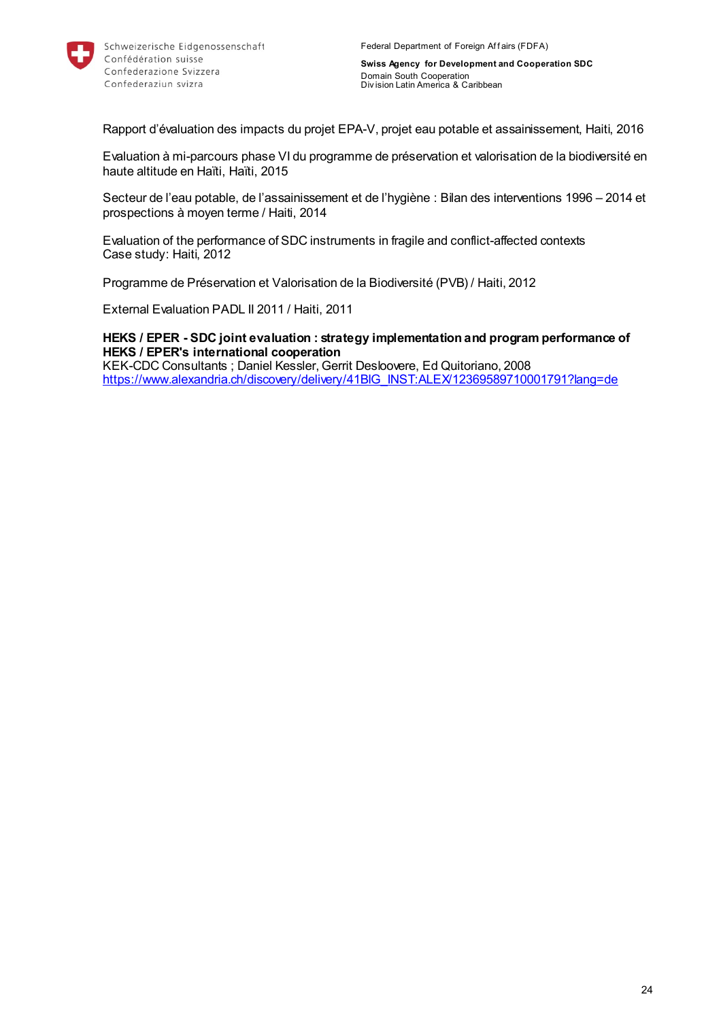

Rapport d'évaluation des impacts du projet EPA-V, projet eau potable et assainissement, Haiti, 2016

Evaluation à mi-parcours phase VI du programme de préservation et valorisation de la biodiversité en haute altitude en Haïti, Haïti, 2015

Secteur de l'eau potable, de l'assainissement et de l'hygiène : Bilan des interventions 1996 – 2014 et prospections à moyen terme / Haiti, 2014

Evaluation of the performance of SDC instruments in fragile and conflict-affected contexts Case study: Haiti, 2012

Programme de Préservation et Valorisation de la Biodiversité (PVB) / Haiti, 2012

External Evaluation PADL II 2011 / Haiti, 2011

**HEKS / EPER - SDC joint evaluation : strategy implementation and program performance of HEKS / EPER's international cooperation**  KEK-CDC Consultants ; Daniel Kessler, Gerrit Desloovere, Ed Quitoriano, 2008 [https://www.alexandria.ch/discovery/delivery/41BIG\\_INST:ALEX/12369589710001791?lang=de](https://www.alexandria.ch/discovery/delivery/41BIG_INST:ALEX/12369589710001791?lang=de)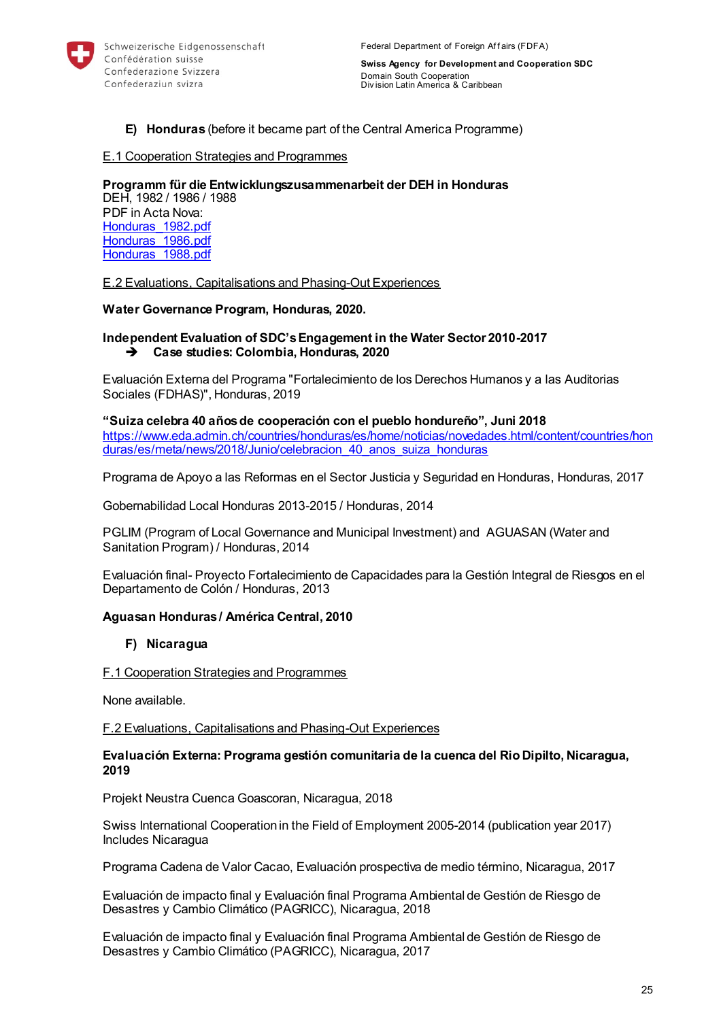

#### **E) Honduras** (before it became part of the Central America Programme)

#### E.1 Cooperation Strategies and Programmes

**Programm für die Entwicklungszusammenarbeit der DEH in Honduras**  DEH, 1982 / 1986 / 1988 PDF in Acta Nova: Honduras 1982.pdf Honduras<sup>-1986</sup>.pdf [Honduras\\_1988.pdf](https://object.gever.admin.ch/web/?ObjectToOpenID=%24ActaNovaDocument%7c2F814FE9-1988-4F98-A8E0-46E3A595DE95&TenantID=190&OpenContentOfProperty=ActiveContent)

E.2 Evaluations, Capitalisations and Phasing-Out Experiences

#### **Water Governance Program, Honduras, 2020.**

#### **Independent Evaluation of SDC's Engagement in the Water Sector 2010-2017 Case studies: Colombia, Honduras, 2020**

Evaluación Externa del Programa "Fortalecimiento de los Derechos Humanos y a las Auditorias Sociales (FDHAS)", Honduras, 2019

**"Suiza celebra 40 años de cooperación con el pueblo hondureño", Juni 2018** [https://www.eda.admin.ch/countries/honduras/es/home/noticias/novedades.html/content/countries/hon](https://www.eda.admin.ch/countries/honduras/es/home/noticias/novedades.html/content/countries/honduras/es/meta/news/2018/Junio/celebracion_40_anos_suiza_honduras) [duras/es/meta/news/2018/Junio/celebracion\\_40\\_anos\\_suiza\\_honduras](https://www.eda.admin.ch/countries/honduras/es/home/noticias/novedades.html/content/countries/honduras/es/meta/news/2018/Junio/celebracion_40_anos_suiza_honduras)

Programa de Apoyo a las Reformas en el Sector Justicia y Seguridad en Honduras, Honduras, 2017

Gobernabilidad Local Honduras 2013-2015 / Honduras, 2014

PGLIM (Program of Local Governance and Municipal Investment) and AGUASAN (Water and Sanitation Program) / Honduras, 2014

Evaluación final- Proyecto Fortalecimiento de Capacidades para la Gestión Integral de Riesgos en el Departamento de Colón / Honduras, 2013

#### **Aguasan Honduras / América Central, 2010**

#### **F) Nicaragua**

#### F.1 Cooperation Strategies and Programmes

None available.

F.2 Evaluations, Capitalisations and Phasing-Out Experiences

#### **Evaluación Externa: Programa gestión comunitaria de la cuenca del Rio Dipilto, Nicaragua, 2019**

Projekt Neustra Cuenca Goascoran, Nicaragua, 2018

Swiss International Cooperation in the Field of Employment 2005-2014 (publication year 2017) Includes Nicaragua

Programa Cadena de Valor Cacao, Evaluación prospectiva de medio término, Nicaragua, 2017

Evaluación de impacto final y Evaluación final Programa Ambiental de Gestión de Riesgo de Desastres y Cambio Climático (PAGRICC), Nicaragua, 2018

Evaluación de impacto final y Evaluación final Programa Ambiental de Gestión de Riesgo de Desastres y Cambio Climático (PAGRICC), Nicaragua, 2017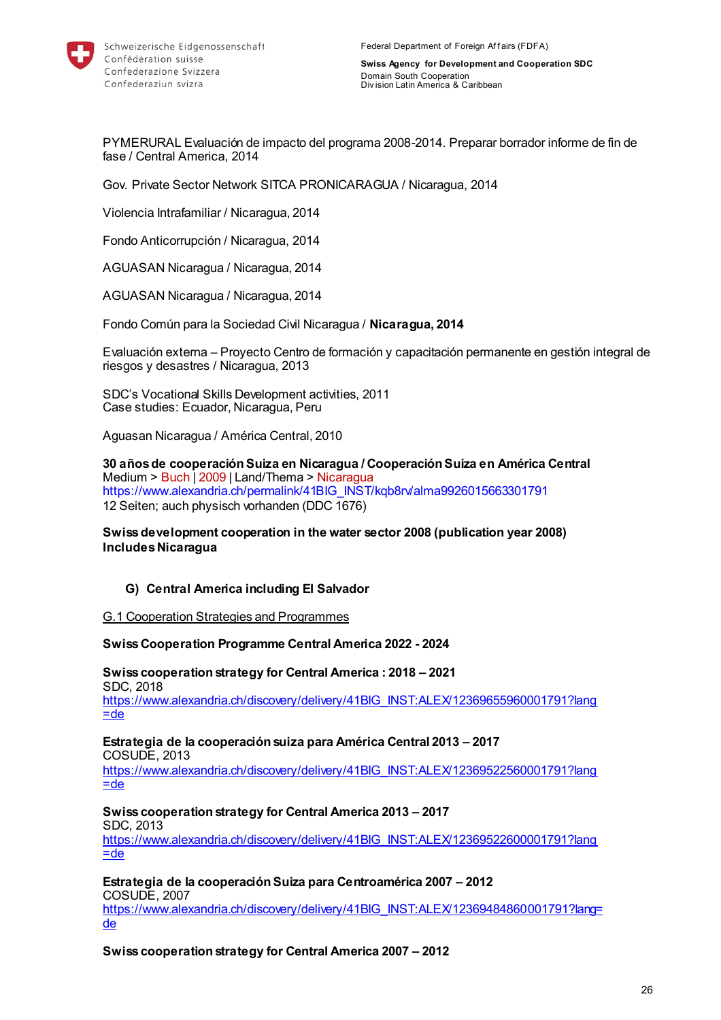

PYMERURAL Evaluación de impacto del programa 2008-2014. Preparar borrador informe de fin de fase / Central America, 2014

Gov. Private Sector Network SITCA PRONICARAGUA / Nicaragua, 2014

Violencia Intrafamiliar / Nicaragua, 2014

Fondo Anticorrupción / Nicaragua, 2014

AGUASAN Nicaragua / Nicaragua, 2014

AGUASAN Nicaragua / Nicaragua, 2014

Fondo Común para la Sociedad Civil Nicaragua / **Nicaragua, 2014**

Evaluación externa – Proyecto Centro de formación y capacitación permanente en gestión integral de riesgos y desastres / Nicaragua, 2013

SDC's Vocational Skills Development activities, 2011 Case studies: Ecuador, Nicaragua, Peru

Aguasan Nicaragua / América Central, 2010

**30 años de cooperación Suiza en Nicaragua / Cooperación Suiza en América Central** Medium > Buch | 2009 | Land/Thema > Nicaragua https://www.alexandria.ch/permalink/41BIG\_INST/kqb8rv/alma9926015663301791 12 Seiten; auch physisch vorhanden (DDC 1676)

**Swiss development cooperation in the water sector 2008 (publication year 2008) Includes Nicaragua**

#### **G) Central America including El Salvador**

#### G.1 Cooperation Strategies and Programmes

**Swiss Cooperation Programme Central America 2022 - 2024**

**Swiss cooperation strategy for Central America : 2018 – 2021**  SDC, 2018 [https://www.alexandria.ch/discovery/delivery/41BIG\\_INST:ALEX/12369655960001791?lang](https://www.alexandria.ch/discovery/delivery/41BIG_INST:ALEX/12369655960001791?lang=de)  $=$ de

**Estrategia de la cooperación suiza para América Central 2013 – 2017**  COSUDE, 2013

[https://www.alexandria.ch/discovery/delivery/41BIG\\_INST:ALEX/12369522560001791?lang](https://www.alexandria.ch/discovery/delivery/41BIG_INST:ALEX/12369522560001791?lang=de)  $=$ de

### **Swiss cooperation strategy for Central America 2013 – 2017**

SDC, 2013

[https://www.alexandria.ch/discovery/delivery/41BIG\\_INST:ALEX/12369522600001791?lang](https://www.alexandria.ch/discovery/delivery/41BIG_INST:ALEX/12369522600001791?lang=de)  $=$ de

**Estrategia de la cooperación Suiza para Centroamérica 2007 – 2012** 

COSUDE, 2007 [https://www.alexandria.ch/discovery/delivery/41BIG\\_INST:ALEX/12369484860001791?lang=](https://www.alexandria.ch/discovery/delivery/41BIG_INST:ALEX/12369484860001791?lang=de) [de](https://www.alexandria.ch/discovery/delivery/41BIG_INST:ALEX/12369484860001791?lang=de) 

**Swiss cooperation strategy for Central America 2007 – 2012**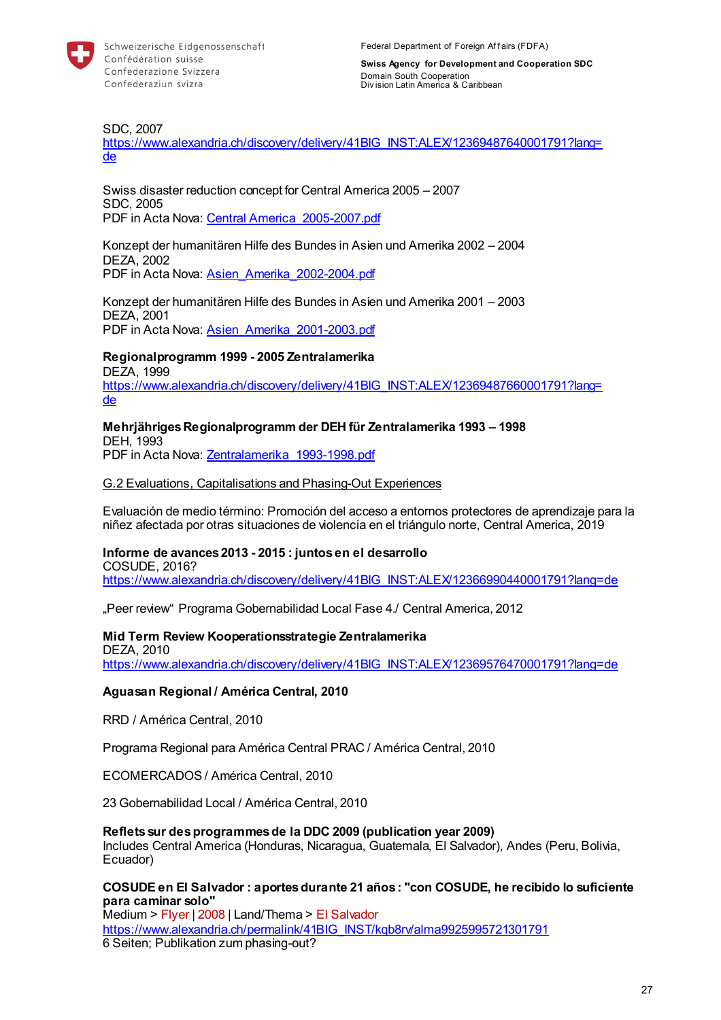

SDC, 2007

[https://www.alexandria.ch/discovery/delivery/41BIG\\_INST:ALEX/12369487640001791?lang=](https://www.alexandria.ch/discovery/delivery/41BIG_INST:ALEX/12369487640001791?lang=de) [de](https://www.alexandria.ch/discovery/delivery/41BIG_INST:ALEX/12369487640001791?lang=de) 

Swiss disaster reduction concept for Central America 2005 – 2007 SDC, 2005 PDF in Acta Nova: [Central America\\_2005-2007.pdf](https://object.gever.admin.ch/web/?ObjectToOpenID=%24ActaNovaDocument%7c31D88A22-2D9B-45D9-A7DD-BB0B3DDB7A78&TenantID=190&OpenContentOfProperty=ActiveContent)

Konzept der humanitären Hilfe des Bundes in Asien und Amerika 2002 – 2004 DEZA, 2002 PDF in Acta Nova: [Asien\\_Amerika\\_2002-2004.pdf](https://object.gever.admin.ch/web/?ObjectToOpenID=%24ActaNovaDocument%7c032C73F5-F520-400E-9C0E-B5DEF67BBFAA&TenantID=190&OpenContentOfProperty=ActiveContent)

Konzept der humanitären Hilfe des Bundes in Asien und Amerika 2001 – 2003 DEZA, 2001 PDF in Acta Nova: [Asien\\_Amerika\\_2001-2003.pdf](https://object.gever.admin.ch/web/?ObjectToOpenID=%24ActaNovaDocument%7c3494F32E-BEE3-401E-82DF-D2C1439B4BF0&TenantID=190&OpenContentOfProperty=ActiveContent)

#### **Regionalprogramm 1999 - 2005 Zentralamerika**

DEZA, 1999 [https://www.alexandria.ch/discovery/delivery/41BIG\\_INST:ALEX/12369487660001791?lang=](https://www.alexandria.ch/discovery/delivery/41BIG_INST:ALEX/12369487660001791?lang=de) [de](https://www.alexandria.ch/discovery/delivery/41BIG_INST:ALEX/12369487660001791?lang=de) 

#### **Mehrjähriges Regionalprogramm der DEH für Zentralamerika 1993 – 1998**  DEH, 1993

PDF in Acta Nova: Zentralamerika 1993-1998.pdf

#### G.2 Evaluations, Capitalisations and Phasing-Out Experiences

Evaluación de medio término: Promoción del acceso a entornos protectores de aprendizaje para la niñez afectada por otras situaciones de violencia en el triángulo norte, Central America, 2019

# **Informe de avances 2013 - 2015 : juntos en el desarrollo**

COSUDE, 2016?

[https://www.alexandria.ch/discovery/delivery/41BIG\\_INST:ALEX/12366990440001791?lang=de](https://www.alexandria.ch/discovery/delivery/41BIG_INST:ALEX/12366990440001791?lang=de)

"Peer review" Programa Gobernabilidad Local Fase 4./ Central America, 2012

#### **Mid Term Review Kooperationsstrategie Zentralamerika**

DEZA, 2010

[https://www.alexandria.ch/discovery/delivery/41BIG\\_INST:ALEX/12369576470001791?lang=de](https://www.alexandria.ch/discovery/delivery/41BIG_INST:ALEX/12369576470001791?lang=de)

#### **Aguasan Regional / América Central, 2010**

RRD / América Central, 2010

Programa Regional para América Central PRAC / América Central, 2010

ECOMERCADOS / América Central, 2010

23 Gobernabilidad Local / América Central, 2010

#### **Reflets sur des programmes de la DDC 2009 (publication year 2009)**

Includes Central America (Honduras, Nicaragua, Guatemala, El Salvador), Andes (Peru, Bolivia, Ecuador)

#### **COSUDE en El Salvador : aportes durante 21 años : "con COSUDE, he recibido lo suficiente para caminar solo"**

Medium > Flyer | 2008 | Land/Thema > El Salvador [https://www.alexandria.ch/permalink/41BIG\\_INST/kqb8rv/alma9925995721301791](https://www.alexandria.ch/permalink/41BIG_INST/kqb8rv/alma9925995721301791) 6 Seiten; Publikation zum phasing-out?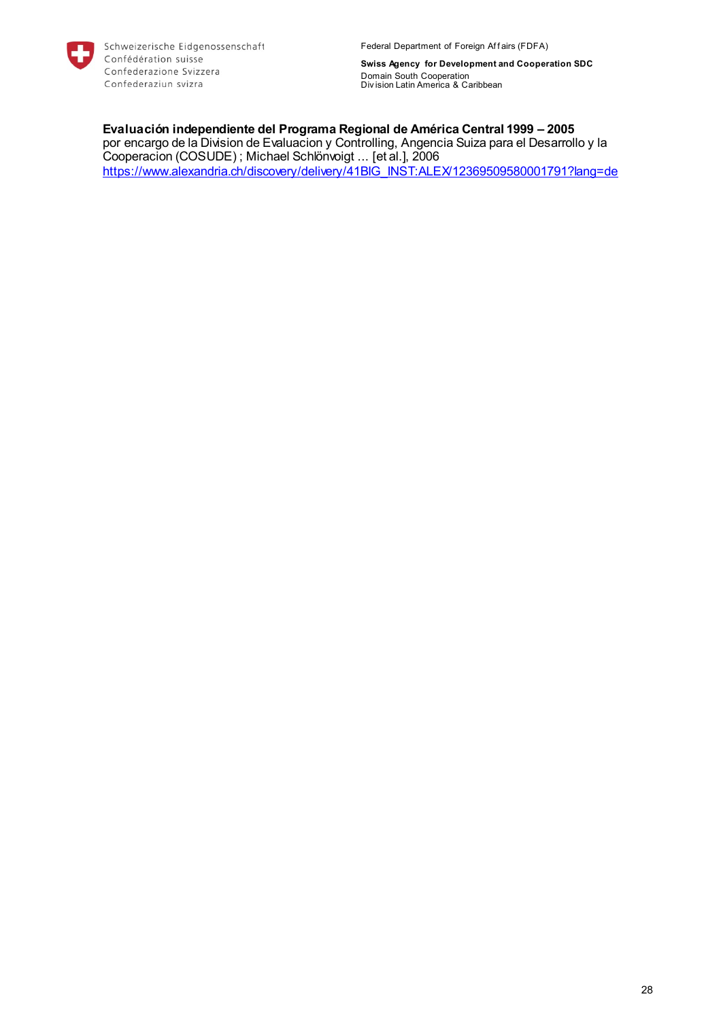

Federal Department of Foreign Affairs (FDFA)

**Swiss Agency for Development and Cooperation SDC** Domain South Cooperation Div ision Latin America & Caribbean

**Evaluación independiente del Programa Regional de América Central 1999 – 2005**  por encargo de la Division de Evaluacion y Controlling, Angencia Suiza para el Desarrollo y la Cooperacion (COSUDE) ; Michael Schlönvoigt ... [et al.], 2006 [https://www.alexandria.ch/discovery/delivery/41BIG\\_INST:ALEX/12369509580001791?lang=de](https://www.alexandria.ch/discovery/delivery/41BIG_INST:ALEX/12369509580001791?lang=de)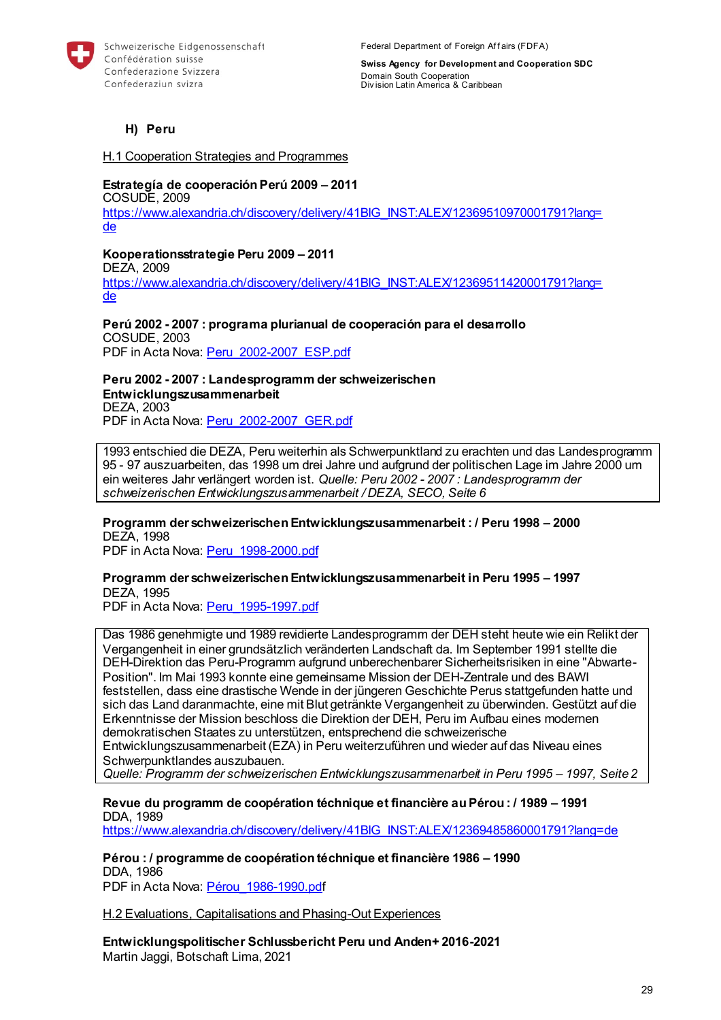

### **H) Peru**

H.1 Cooperation Strategies and Programmes

#### **Estrategía de cooperación Perú 2009 – 2011**

COSUDE, 2009 [https://www.alexandria.ch/discovery/delivery/41BIG\\_INST:ALEX/12369510970001791?lang=](https://www.alexandria.ch/discovery/delivery/41BIG_INST:ALEX/12369510970001791?lang=de) [de](https://www.alexandria.ch/discovery/delivery/41BIG_INST:ALEX/12369510970001791?lang=de) 

**Kooperationsstrategie Peru 2009 – 2011** 

DEZA, 2009 [https://www.alexandria.ch/discovery/delivery/41BIG\\_INST:ALEX/12369511420001791?lang=](https://www.alexandria.ch/discovery/delivery/41BIG_INST:ALEX/12369511420001791?lang=de) [de](https://www.alexandria.ch/discovery/delivery/41BIG_INST:ALEX/12369511420001791?lang=de) 

#### **Perú 2002 - 2007 : programa plurianual de cooperación para el desarrollo**  COSUDE, 2003 PDF in Acta Nova: [Peru\\_2002-2007\\_ESP.pdf](https://object.gever.admin.ch/web/?ObjectToOpenID=%24ActaNovaDocument%7c9F9C15F3-6D36-4B5C-8CD4-571FA0F7C212&TenantID=190&OpenContentOfProperty=ActiveContent)

### **Peru 2002 - 2007 : Landesprogramm der schweizerischen Entwicklungszusammenarbeit**

DEZA, 2003 PDF in Acta Nova: [Peru\\_2002-2007\\_GER.pdf](https://object.gever.admin.ch/web/?ObjectToOpenID=%24ActaNovaDocument%7cA0644BE6-6070-4C44-93A3-FAE8E11CFF8D&TenantID=190&OpenContentOfProperty=ActiveContent)

1993 entschied die DEZA, Peru weiterhin als Schwerpunktland zu erachten und das Landesprogramm 95 - 97 auszuarbeiten, das 1998 um drei Jahre und aufgrund der politischen Lage im Jahre 2000 um ein weiteres Jahr verlängert worden ist. *Quelle: Peru 2002 - 2007 : Landesprogramm der schweizerischen Entwicklungszusammenarbeit / DEZA, SECO, Seite 6* 

**Programm der schweizerischen Entwicklungszusammenarbeit : / Peru 1998 – 2000**  DEZA, 1998

PDF in Acta Nova: [Peru\\_1998-2000.pdf](https://object.gever.admin.ch/web/?ObjectToOpenID=%24ActaNovaDocument%7c8D30843B-8DFA-4D5C-BB5D-C13B187C272B&TenantID=190&OpenContentOfProperty=ActiveContent)

## **Programm der schweizerischen Entwicklungszusammenarbeit in Peru 1995 – 1997**  DEZA, 1995

PDF in Acta Nova: Peru 1995-1997.pdf

Das 1986 genehmigte und 1989 revidierte Landesprogramm der DEH steht heute wie ein Relikt der Vergangenheit in einer grundsätzlich veränderten Landschaft da. Im September 1991 stellte die DEH-Direktion das Peru-Programm aufgrund unberechenbarer Sicherheitsrisiken in eine "Abwarte-Position". Im Mai 1993 konnte eine gemeinsame Mission der DEH-Zentrale und des BAWI feststellen, dass eine drastische Wende in der jüngeren Geschichte Perus stattgefunden hatte und sich das Land daranmachte, eine mit Blut getränkte Vergangenheit zu überwinden. Gestützt auf die Erkenntnisse der Mission beschloss die Direktion der DEH, Peru im Aufbau eines modernen demokratischen Staates zu unterstützen, entsprechend die schweizerische Entwicklungszusammenarbeit (EZA) in Peru weiterzuführen und wieder auf das Niveau eines Schwerpunktlandes auszubauen. *Quelle: Programm der schweizerischen Entwicklungszusammenarbeit in Peru 1995 – 1997, Seite 2* 

**Revue du programm de coopération téchnique et financière au Pérou : / 1989 – 1991**  DDA, 1989 [https://www.alexandria.ch/discovery/delivery/41BIG\\_INST:ALEX/12369485860001791?lang=de](https://www.alexandria.ch/discovery/delivery/41BIG_INST:ALEX/12369485860001791?lang=de)

**Pérou : / programme de coopération téchnique et financière 1986 – 1990**  DDA, 1986 PDF in Acta Nova: [Pérou\\_1986-1990.pdf](https://object.gever.admin.ch/web/?ObjectToOpenID=%24ActaNovaDocument%7c42BB7D6F-4C9A-4B7F-B7D8-0C030847D948&TenantID=190&OpenContentOfProperty=ActiveContent)

H.2 Evaluations, Capitalisations and Phasing-Out Experiences

**Entwicklungspolitischer Schlussbericht Peru und Anden+ 2016-2021** Martin Jaggi, Botschaft Lima, 2021